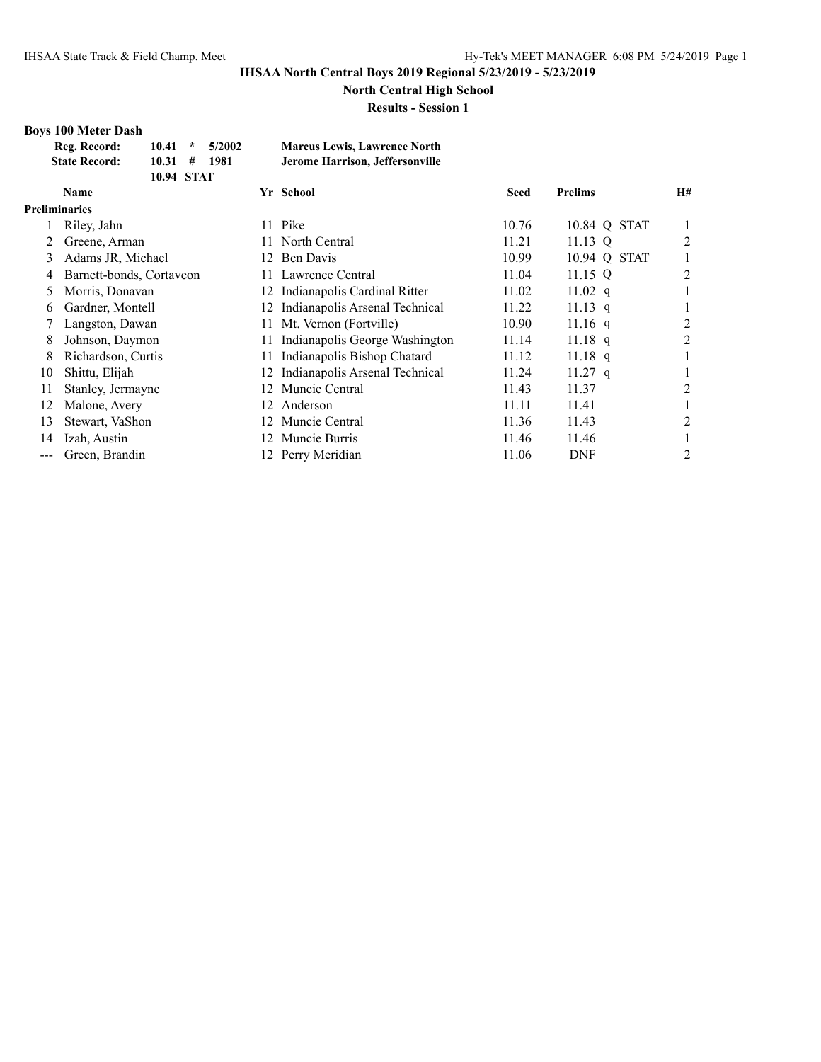**North Central High School**

**Results - Session 1**

# **Boys 100 Meter Dash**

| Reg. Record:         | $10.41$ *  | 5/2002 | <b>Marcus Lewis, Lawrence North</b> |
|----------------------|------------|--------|-------------------------------------|
| <b>State Record:</b> | 10.31#     | 1981   | Jerome Harrison, Jeffersonville     |
|                      | 10.94 STAT |        |                                     |

|                      | <b>Name</b>              |     | Yr School                         | <b>Seed</b> | <b>Prelims</b> | <b>H#</b>      |
|----------------------|--------------------------|-----|-----------------------------------|-------------|----------------|----------------|
| <b>Preliminaries</b> |                          |     |                                   |             |                |                |
|                      | Riley, Jahn              | 11  | Pike                              | 10.76       | 10.84 Q STAT   |                |
|                      | Greene, Arman            | 11. | North Central                     | 11.21       | 11.13 $Q$      | 2              |
| 3                    | Adams JR, Michael        | 12. | Ben Davis                         | 10.99       | 10.94 Q STAT   |                |
| 4                    | Barnett-bonds, Cortaveon | 11. | Lawrence Central                  | 11.04       | $11.15$ Q      | 2              |
| 5                    | Morris, Donavan          |     | 12 Indianapolis Cardinal Ritter   | 11.02       | 11.02 q        |                |
| 6                    | Gardner, Montell         | 12  | Indianapolis Arsenal Technical    | 11.22       | $11.13$ q      |                |
|                      | Langston, Dawan          | 11  | Mt. Vernon (Fortville)            | 10.90       | $11.16$ q      |                |
| 8                    | Johnson, Daymon          | 11. | Indianapolis George Washington    | 11.14       | $11.18$ q      | 2              |
| 8                    | Richardson, Curtis       | 11  | Indianapolis Bishop Chatard       | 11.12       | $11.18$ q      |                |
| 10                   | Shittu, Elijah           |     | 12 Indianapolis Arsenal Technical | 11.24       | $11.27$ q      |                |
| 11                   | Stanley, Jermayne        | 12  | Muncie Central                    | 11.43       | 11.37          | $\overline{c}$ |
| 12                   | Malone, Avery            | 12  | Anderson                          | 11.11       | 11.41          |                |
| 13                   | Stewart, VaShon          | 12. | Muncie Central                    | 11.36       | 11.43          | 2              |
| 14                   | Izah, Austin             | 12  | Muncie Burris                     | 11.46       | 11.46          |                |
|                      | Green, Brandin           |     | 12 Perry Meridian                 | 11.06       | <b>DNF</b>     | 2              |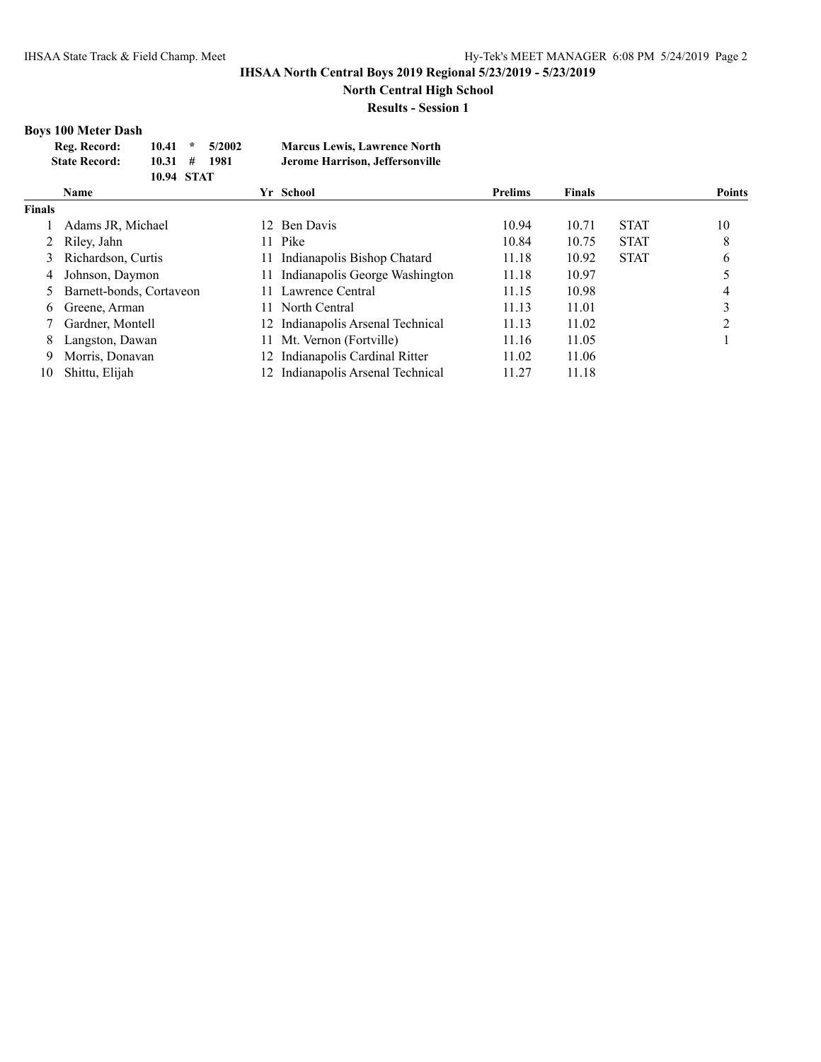**North Central High School**

**Results - Session 1**

# **Boys 100 Meter Dash**

| Reg. Record:         | $10.41$ *  | 5/2002 | <b>Marcus Lewis, Lawrence North</b> |
|----------------------|------------|--------|-------------------------------------|
| <b>State Record:</b> | 10.31#     | 1981   | Jerome Harrison, Jeffersonville     |
|                      | 10.94 STAT |        |                                     |

|               | <b>Name</b>                |     | Yr School                         | <b>Prelims</b> | <b>Finals</b> |             | <b>Points</b> |
|---------------|----------------------------|-----|-----------------------------------|----------------|---------------|-------------|---------------|
| <b>Finals</b> |                            |     |                                   |                |               |             |               |
|               | Adams JR, Michael          |     | 12 Ben Davis                      | 10.94          | 10.71         | <b>STAT</b> | 10            |
|               | 2 Riley, Jahn              | 11. | Pike                              | 10.84          | 10.75         | <b>STAT</b> | 8             |
|               | 3 Richardson, Curtis       | 11. | Indianapolis Bishop Chatard       | 11.18          | 10.92         | <b>STAT</b> | 6             |
| 4             | Johnson, Daymon            | 11. | Indianapolis George Washington    | 11.18          | 10.97         |             |               |
|               | 5 Barnett-bonds, Cortaveon | 11. | Lawrence Central                  | 11.15          | 10.98         |             |               |
| 6             | Greene, Arman              | 11. | North Central                     | 11.13          | 11.01         |             |               |
|               | Gardner, Montell           |     | 12 Indianapolis Arsenal Technical | 11.13          | 11.02         |             | ∍             |
| 8             | Langston, Dawan            | 11. | Mt. Vernon (Fortville)            | 11.16          | 11.05         |             |               |
| 9             | Morris, Donavan            |     | 12 Indianapolis Cardinal Ritter   | 11.02          | 11.06         |             |               |
| 10            | Shittu, Elijah             |     | 12 Indianapolis Arsenal Technical | 11.27          | 11.18         |             |               |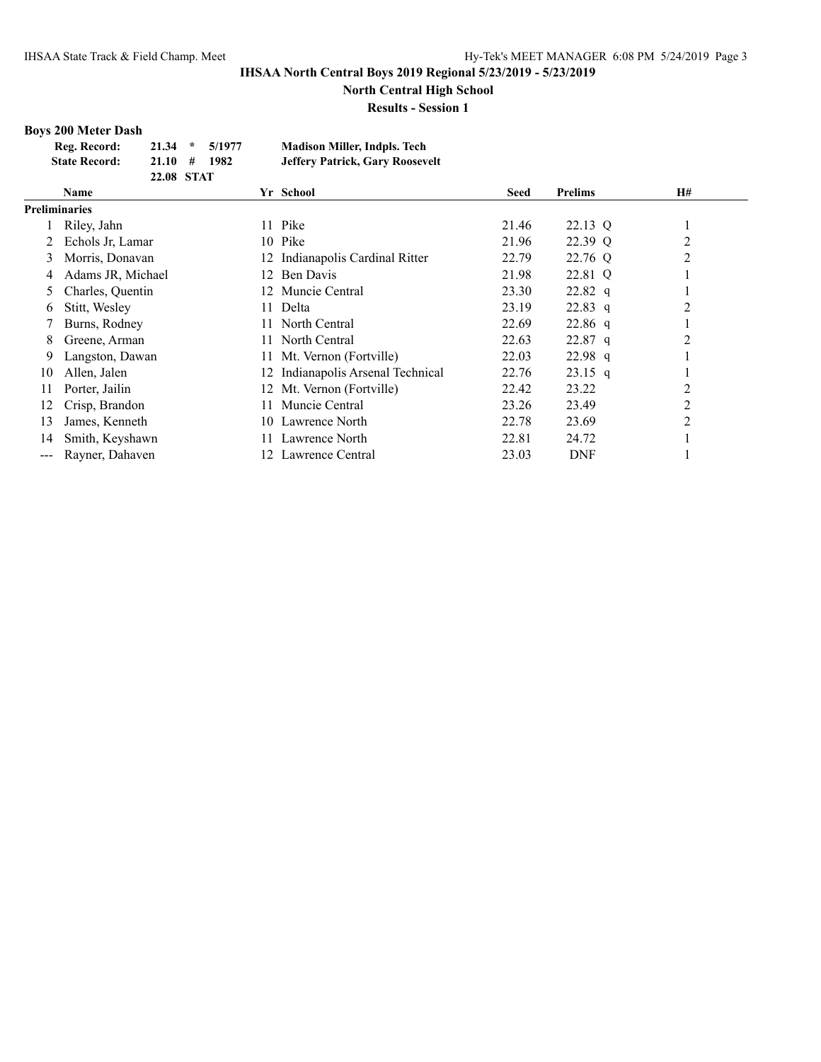**North Central High School**

**Results - Session 1**

# **Boys 200 Meter Dash**

| Reg. Record:         | $21.34 \div 5/1977$ |      | <b>Madison Miller, Indpls. Tech</b>    |
|----------------------|---------------------|------|----------------------------------------|
| <b>State Record:</b> | 21.10#              | 1982 | <b>Jeffery Patrick, Gary Roosevelt</b> |
|                      | 22.08 STAT          |      |                                        |

|     | <b>Name</b>          |     | Yr School                         | <b>Seed</b> | <b>Prelims</b> | <b>H#</b>      |
|-----|----------------------|-----|-----------------------------------|-------------|----------------|----------------|
|     | <b>Preliminaries</b> |     |                                   |             |                |                |
|     | Riley, Jahn          | 11  | Pike                              | 21.46       | 22.13 Q        |                |
|     | Echols Jr, Lamar     |     | 10 Pike                           | 21.96       | 22.39 Q        | $\overline{c}$ |
| 3   | Morris, Donavan      | 12  | Indianapolis Cardinal Ritter      | 22.79       | 22.76 Q        | $\overline{2}$ |
| 4   | Adams JR, Michael    | 12. | Ben Davis                         | 21.98       | 22.81 Q        |                |
| 5   | Charles, Quentin     |     | 12 Muncie Central                 | 23.30       | $22.82$ q      |                |
| 6   | Stitt, Wesley        | 11. | Delta                             | 23.19       | $22.83$ q      | $\overline{2}$ |
|     | Burns, Rodney        |     | 11 North Central                  | 22.69       | $22.86$ q      |                |
| 8   | Greene, Arman        | 11. | North Central                     | 22.63       | $22.87$ q      | 2              |
| 9   | Langston, Dawan      |     | 11 Mt. Vernon (Fortville)         | 22.03       | $22.98$ q      |                |
| 10  | Allen, Jalen         |     | 12 Indianapolis Arsenal Technical | 22.76       | $23.15$ q      |                |
| 11  | Porter, Jailin       |     | 12 Mt. Vernon (Fortville)         | 22.42       | 23.22          | $\overline{2}$ |
| 12  | Crisp, Brandon       | 11. | Muncie Central                    | 23.26       | 23.49          | $\overline{c}$ |
| 13  | James, Kenneth       | 10  | Lawrence North                    | 22.78       | 23.69          | $\overline{2}$ |
| 14  | Smith, Keyshawn      | 11. | Lawrence North                    | 22.81       | 24.72          |                |
| --- | Rayner, Dahaven      |     | 12 Lawrence Central               | 23.03       | <b>DNF</b>     |                |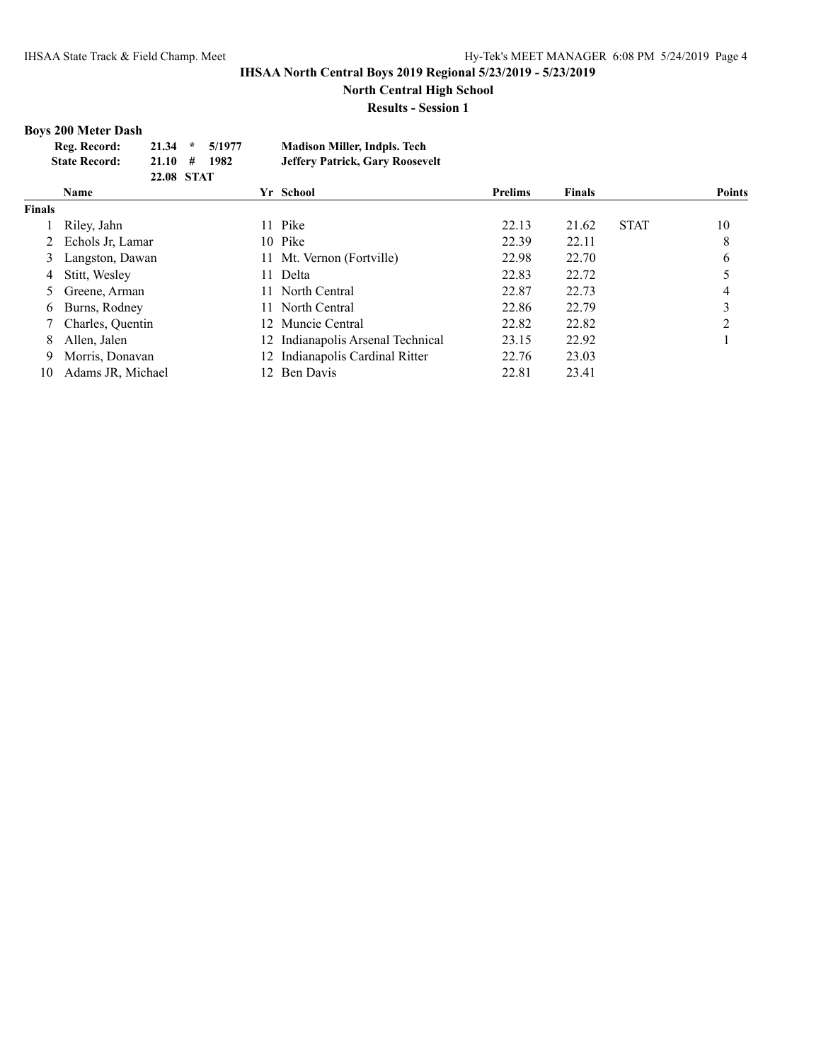**North Central High School**

**Results - Session 1**

# **Boys 200 Meter Dash**

| Reg. Record:         | $21.34$ *  | 5/1977 | <b>Madison Miller, Indpls. Tech</b>    |
|----------------------|------------|--------|----------------------------------------|
| <b>State Record:</b> | 21.10#     | 1982   | <b>Jeffery Patrick, Gary Roosevelt</b> |
|                      | 22.08 STAT |        |                                        |

|               | Name               |                 | Yr School                         | <b>Prelims</b> | <b>Finals</b> |             | <b>Points</b> |
|---------------|--------------------|-----------------|-----------------------------------|----------------|---------------|-------------|---------------|
| <b>Finals</b> |                    |                 |                                   |                |               |             |               |
|               | Riley, Jahn        |                 | 11 Pike                           | 22.13          | 21.62         | <b>STAT</b> | 10            |
|               | 2 Echols Jr, Lamar |                 | 10 Pike                           | 22.39          | 22.11         |             | 8             |
|               | 3 Langston, Dawan  | 11-             | Mt. Vernon (Fortville)            | 22.98          | 22.70         |             | 6             |
| 4             | Stitt, Wesley      | 11.             | Delta                             | 22.83          | 22.72         |             |               |
|               | 5 Greene, Arman    | 11.             | North Central                     | 22.87          | 22.73         |             |               |
| 6             | Burns, Rodney      | 11              | North Central                     | 22.86          | 22.79         |             | 3             |
|               | Charles, Quentin   | 12 <sup>1</sup> | Muncie Central                    | 22.82          | 22.82         |             | ↑             |
| 8             | Allen, Jalen       |                 | 12 Indianapolis Arsenal Technical | 23.15          | 22.92         |             |               |
| 9             | Morris, Donavan    |                 | 12 Indianapolis Cardinal Ritter   | 22.76          | 23.03         |             |               |
| 10            | Adams JR, Michael  |                 | 12 Ben Davis                      | 22.81          | 23.41         |             |               |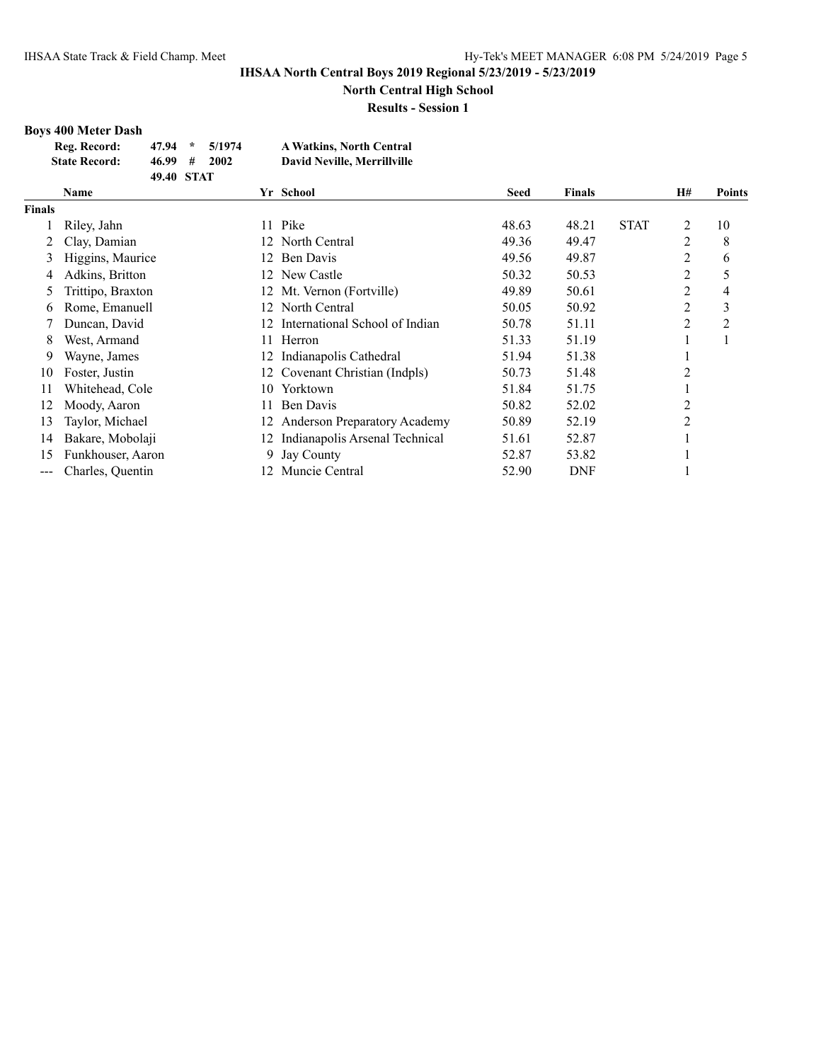**North Central High School**

**Results - Session 1**

# **Boys 400 Meter Dash**

| Reg. Record:         | $47.94$ *  | 5/1974 | <b>A Watkins, North Central</b> |
|----------------------|------------|--------|---------------------------------|
| <b>State Record:</b> | 46.99#     | 2002   | David Neville, Merrillville     |
|                      | 49.40 STAT |        |                                 |

|                        | <b>Name</b>       |     | Yr School                           | <b>Seed</b> | <b>Finals</b> |             | H#             | <b>Points</b>  |
|------------------------|-------------------|-----|-------------------------------------|-------------|---------------|-------------|----------------|----------------|
| <b>Finals</b>          |                   |     |                                     |             |               |             |                |                |
|                        | Riley, Jahn       | 11  | Pike                                | 48.63       | 48.21         | <b>STAT</b> | 2              | 10             |
|                        | Clay, Damian      |     | 12 North Central                    | 49.36       | 49.47         |             | $\overline{2}$ | 8              |
| 3                      | Higgins, Maurice  | 12. | Ben Davis                           | 49.56       | 49.87         |             | 2              | 6              |
| 4                      | Adkins, Britton   | 12. | New Castle                          | 50.32       | 50.53         |             | $\overline{c}$ |                |
| 5                      | Trittipo, Braxton |     | 12 Mt. Vernon (Fortville)           | 49.89       | 50.61         |             | $\overline{2}$ | 4              |
| 6                      | Rome, Emanuell    |     | 12 North Central                    | 50.05       | 50.92         |             | 2              | 3              |
|                        | Duncan, David     | 12. | International School of Indian      | 50.78       | 51.11         |             | 2              | $\overline{c}$ |
| 8                      | West, Armand      | 11. | Herron                              | 51.33       | 51.19         |             | -              |                |
| 9                      | Wayne, James      | 12. | Indianapolis Cathedral              | 51.94       | 51.38         |             | ш              |                |
| 10                     | Foster, Justin    | 12. | Covenant Christian (Indpls)         | 50.73       | 51.48         |             | 2              |                |
| 11                     | Whitehead, Cole   | 10  | Yorktown                            | 51.84       | 51.75         |             | -              |                |
| 12                     | Moody, Aaron      | 11  | Ben Davis                           | 50.82       | 52.02         |             | 2              |                |
| 13                     | Taylor, Michael   | 12. | <b>Anderson Preparatory Academy</b> | 50.89       | 52.19         |             | $\overline{2}$ |                |
| 14                     | Bakare, Mobolaji  | 12. | Indianapolis Arsenal Technical      | 51.61       | 52.87         |             |                |                |
| 15                     | Funkhouser, Aaron | 9.  | <b>Jay County</b>                   | 52.87       | 53.82         |             |                |                |
| $\qquad \qquad \cdots$ | Charles, Quentin  | 12. | Muncie Central                      | 52.90       | <b>DNF</b>    |             |                |                |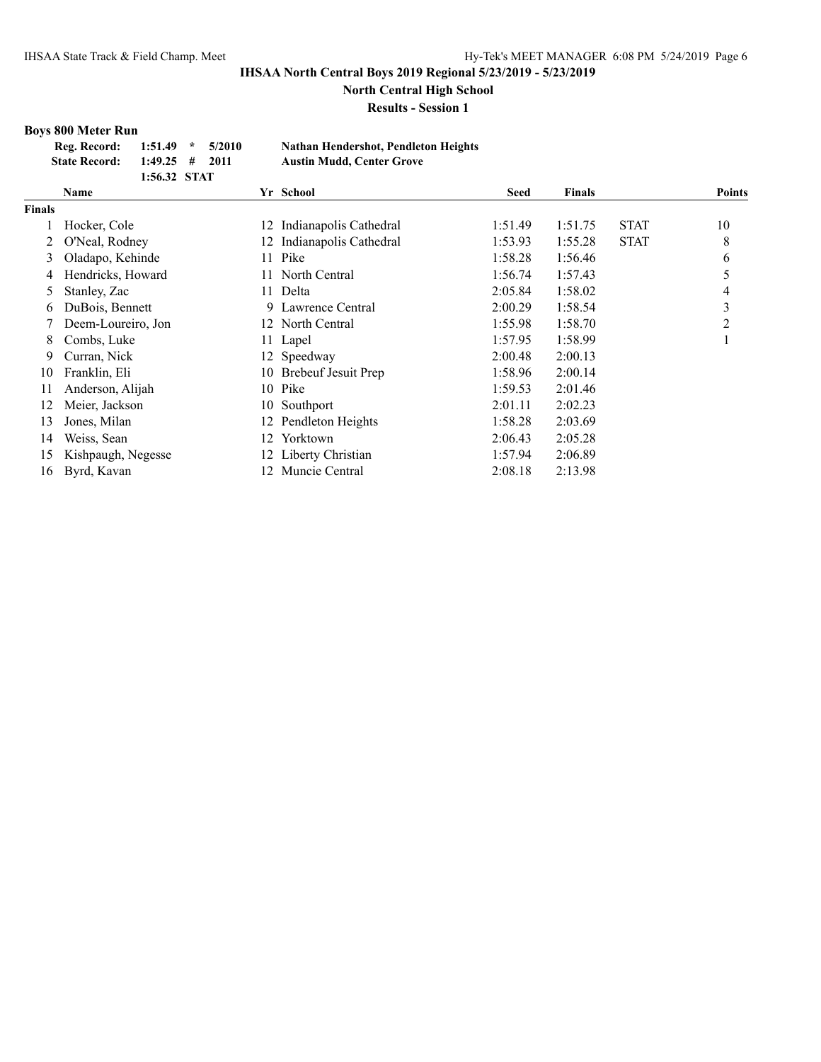**North Central High School**

**Results - Session 1**

# **Boys 800 Meter Run**

| Reg. Record:         | $1:51.49$ *      | 5/2010 | Nathan Hendershot, Pendleton Heights |
|----------------------|------------------|--------|--------------------------------------|
| <b>State Record:</b> | $1:49.25$ # 2011 |        | <b>Austin Mudd, Center Grove</b>     |
|                      | 1:56.32 STAT     |        |                                      |

|               | Name               | Yr School     |                            | <b>Seed</b> | <b>Finals</b> |             | <b>Points</b> |
|---------------|--------------------|---------------|----------------------------|-------------|---------------|-------------|---------------|
| <b>Finals</b> |                    |               |                            |             |               |             |               |
|               | Hocker, Cole       | 12            | Indianapolis Cathedral     | 1:51.49     | 1:51.75       | <b>STAT</b> | 10            |
|               | O'Neal, Rodney     | 12            | Indianapolis Cathedral     | 1:53.93     | 1:55.28       | <b>STAT</b> | 8             |
| 3             | Oladapo, Kehinde   | Pike<br>11.   |                            | 1:58.28     | 1:56.46       |             | 6             |
|               | Hendricks, Howard  | 11.           | North Central              | 1:56.74     | 1:57.43       |             |               |
|               | Stanley, Zac       | Delta<br>11 - |                            | 2:05.84     | 1:58.02       |             | 4             |
| 6.            | DuBois, Bennett    |               | 9 Lawrence Central         | 2:00.29     | 1:58.54       |             | 3             |
|               | Deem-Loureiro, Jon |               | 12 North Central           | 1:55.98     | 1:58.70       |             | 2             |
| 8             | Combs, Luke        | Lapel<br>11 - |                            | 1:57.95     | 1:58.99       |             |               |
| 9.            | Curran, Nick       | 12 Speedway   |                            | 2:00.48     | 2:00.13       |             |               |
| 10            | Franklin, Eli      | 10            | <b>Brebeuf Jesuit Prep</b> | 1:58.96     | 2:00.14       |             |               |
| 11            | Anderson, Alijah   | Pike<br>10    |                            | 1:59.53     | 2:01.46       |             |               |
| 12            | Meier, Jackson     | 10            | Southport                  | 2:01.11     | 2:02.23       |             |               |
| 13            | Jones, Milan       | 12            | Pendleton Heights          | 1:58.28     | 2:03.69       |             |               |
| 14            | Weiss, Sean        | 12            | Yorktown                   | 2:06.43     | 2:05.28       |             |               |
| 15            | Kishpaugh, Negesse |               | 12 Liberty Christian       | 1:57.94     | 2:06.89       |             |               |
| 16            | Byrd, Kavan        |               | 12 Muncie Central          | 2:08.18     | 2:13.98       |             |               |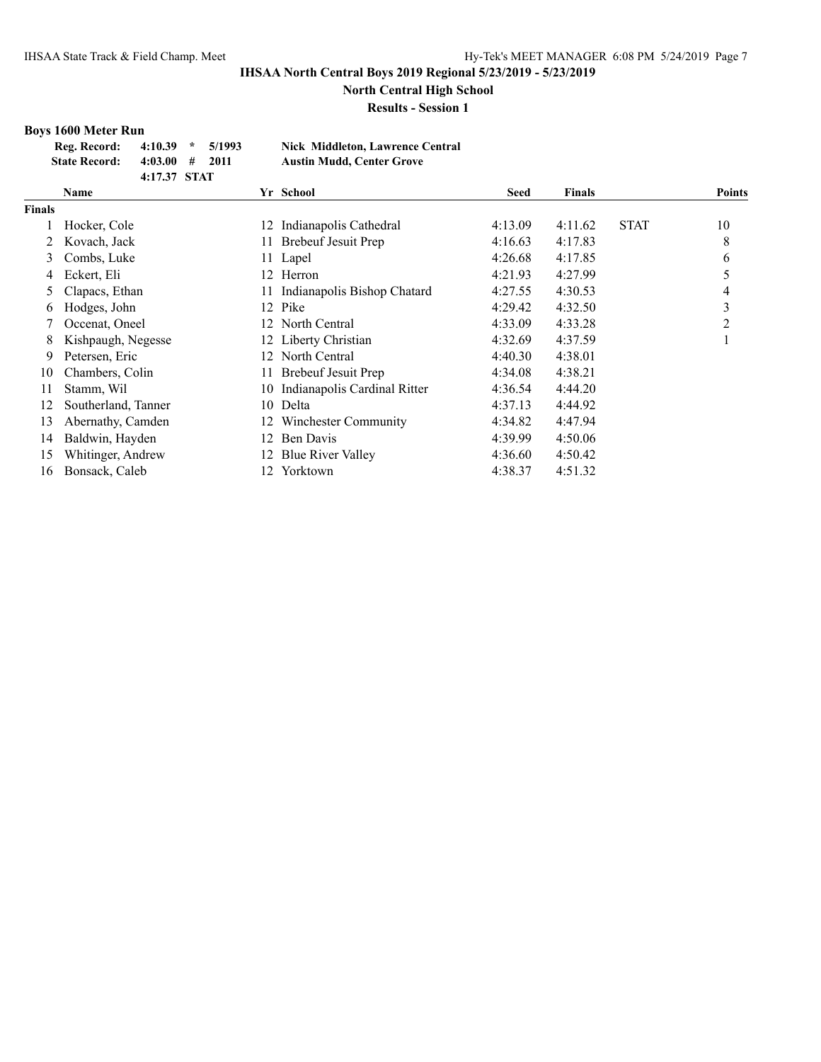**North Central High School**

**Results - Session 1**

# **Boys 1600 Meter Run**

| Reg. Record:         | $4:10.39$ *  | 5/1993 | Nick Middleton, Lawrence Central |
|----------------------|--------------|--------|----------------------------------|
| <b>State Record:</b> | 4:03.00#     | 2011   | <b>Austin Mudd. Center Grove</b> |
|                      | 4:17.37 STAT |        |                                  |

|        | <b>Name</b>         |      | Yr School                    | <b>Seed</b> | <b>Finals</b> |             | <b>Points</b> |
|--------|---------------------|------|------------------------------|-------------|---------------|-------------|---------------|
| Finals |                     |      |                              |             |               |             |               |
|        | Hocker, Cole        | 12   | Indianapolis Cathedral       | 4:13.09     | 4:11.62       | <b>STAT</b> | 10            |
|        | Kovach, Jack        | 11   | <b>Brebeuf Jesuit Prep</b>   | 4:16.63     | 4:17.83       |             | 8             |
| 3      | Combs, Luke         |      | 11 Lapel                     | 4:26.68     | 4:17.85       |             | 6             |
| 4      | Eckert, Eli         |      | 12 Herron                    | 4:21.93     | 4:27.99       |             | 5             |
| 5      | Clapacs, Ethan      | 11 - | Indianapolis Bishop Chatard  | 4:27.55     | 4:30.53       |             | 4             |
| 6      | Hodges, John        |      | 12 Pike                      | 4:29.42     | 4:32.50       |             | 3             |
|        | Occenat, Oneel      |      | 12 North Central             | 4:33.09     | 4:33.28       |             | 2             |
| 8      | Kishpaugh, Negesse  |      | 12 Liberty Christian         | 4:32.69     | 4:37.59       |             |               |
| 9      | Petersen, Eric      |      | 12 North Central             | 4:40.30     | 4:38.01       |             |               |
| 10     | Chambers, Colin     |      | <b>Brebeuf Jesuit Prep</b>   | 4:34.08     | 4:38.21       |             |               |
| 11     | Stamm, Wil          | 10-  | Indianapolis Cardinal Ritter | 4:36.54     | 4:44.20       |             |               |
| 12     | Southerland, Tanner | 10   | Delta                        | 4:37.13     | 4:44.92       |             |               |
| 13     | Abernathy, Camden   | 12.  | Winchester Community         | 4:34.82     | 4:47.94       |             |               |
| 14     | Baldwin, Hayden     | 12   | Ben Davis                    | 4:39.99     | 4:50.06       |             |               |
| 15     | Whitinger, Andrew   |      | 12 Blue River Valley         | 4:36.60     | 4:50.42       |             |               |
| 16     | Bonsack, Caleb      | 12   | Yorktown                     | 4:38.37     | 4:51.32       |             |               |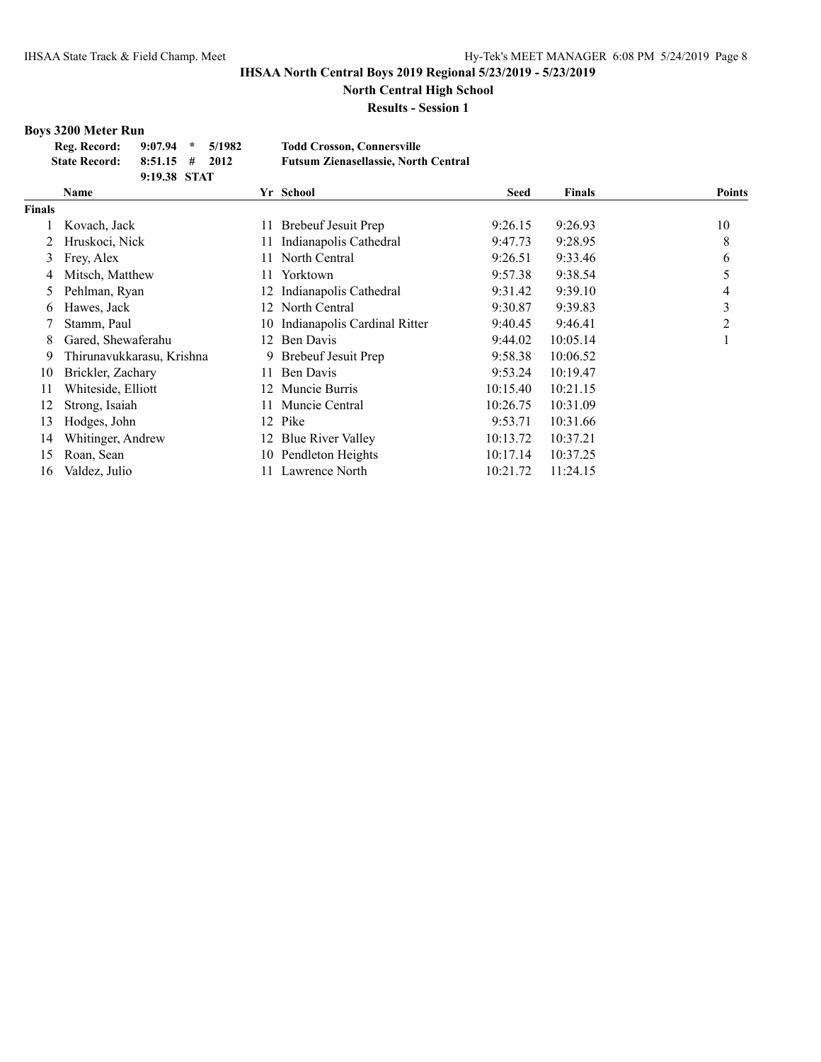**North Central High School**

**Results - Session 1**

# **Boys 3200 Meter Run**

| Reg. Record:         | $9:07.94$ * $5/1982$ |  | <b>Todd Crosson, Connersville</b>           |
|----------------------|----------------------|--|---------------------------------------------|
| <b>State Record:</b> | $8:51.15$ # 2012     |  | <b>Futsum Zienasellassie, North Central</b> |
|                      | 9:19.38 STAT         |  |                                             |

|               | <b>Name</b>               |     | Yr School                       | Seed     | <b>Finals</b> | <b>Points</b> |
|---------------|---------------------------|-----|---------------------------------|----------|---------------|---------------|
| <b>Finals</b> |                           |     |                                 |          |               |               |
|               | Kovach, Jack              | 11  | Brebeuf Jesuit Prep             | 9:26.15  | 9:26.93       | 10            |
| 2             | Hruskoci, Nick            | 11. | Indianapolis Cathedral          | 9:47.73  | 9:28.95       | 8             |
| 3             | Frey, Alex                | 11. | North Central                   | 9:26.51  | 9:33.46       | 6             |
| 4             | Mitsch, Matthew           | 11. | Yorktown                        | 9:57.38  | 9:38.54       | 5             |
| 5.            | Pehlman, Ryan             | 12  | Indianapolis Cathedral          | 9:31.42  | 9:39.10       | 4             |
| 6             | Hawes, Jack               |     | 12 North Central                | 9:30.87  | 9:39.83       | 3             |
|               | Stamm, Paul               |     | 10 Indianapolis Cardinal Ritter | 9:40.45  | 9:46.41       | 2             |
| 8             | Gared, Shewaferahu        |     | 12 Ben Davis                    | 9:44.02  | 10:05.14      |               |
| 9             | Thirunavukkarasu, Krishna |     | 9 Brebeuf Jesuit Prep           | 9:58.38  | 10:06.52      |               |
| 10            | Brickler, Zachary         | 11. | Ben Davis                       | 9:53.24  | 10:19.47      |               |
| 11            | Whiteside, Elliott        | 12. | Muncie Burris                   | 10:15.40 | 10:21.15      |               |
| 12            | Strong, Isaiah            | 11  | Muncie Central                  | 10:26.75 | 10:31.09      |               |
| 13            | Hodges, John              | 12  | Pike                            | 9:53.71  | 10:31.66      |               |
| 14            | Whitinger, Andrew         | 12  | <b>Blue River Valley</b>        | 10:13.72 | 10:37.21      |               |
| 15            | Roan, Sean                |     | 10 Pendleton Heights            | 10:17.14 | 10:37.25      |               |
| 16            | Valdez, Julio             | 11. | Lawrence North                  | 10:21.72 | 11:24.15      |               |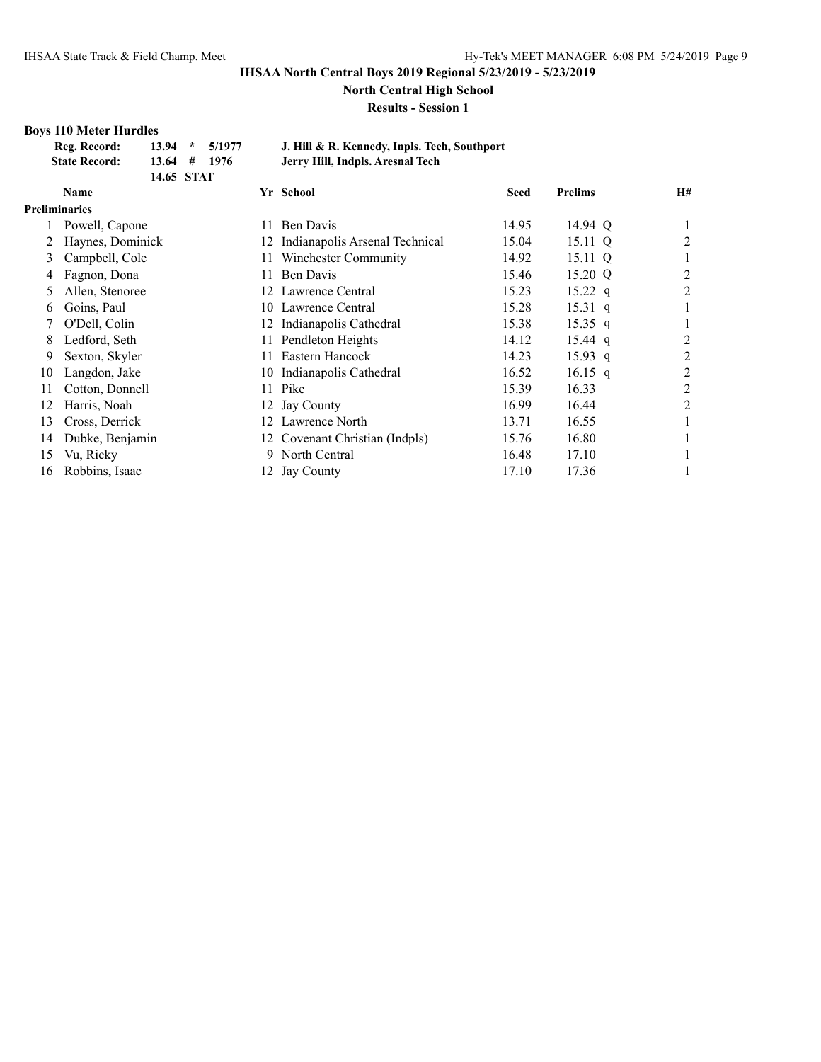**North Central High School**

**Results - Session 1**

# **Boys 110 Meter Hurdles**

| Reg. Record:         |                | $13.94 * 5/1977$ | J. Hill & R. Kennedy, Inpls. Tech, Southport |
|----------------------|----------------|------------------|----------------------------------------------|
| <b>State Record:</b> | $13.64$ # 1976 |                  | Jerry Hill, Indpls. Aresnal Tech             |
|                      | 14.65 STAT     |                  |                                              |

|               | 1700 DIAI        |     |                                |             |                |                |
|---------------|------------------|-----|--------------------------------|-------------|----------------|----------------|
|               | Name             |     | Yr School                      | <b>Seed</b> | <b>Prelims</b> | <b>H#</b>      |
| Preliminaries |                  |     |                                |             |                |                |
|               | Powell, Capone   | 11. | Ben Davis                      | 14.95       | 14.94 Q        | л              |
|               | Haynes, Dominick | 12  | Indianapolis Arsenal Technical | 15.04       | 15.11 Q        | 2              |
| 3             | Campbell, Cole   | 11- | Winchester Community           | 14.92       | 15.11 Q        |                |
| 4             | Fagnon, Dona     | 11. | Ben Davis                      | 15.46       | 15.20 Q        | 2              |
| 5             | Allen, Stenoree  | 12. | Lawrence Central               | 15.23       | 15.22 $q$      | 2              |
| 6             | Goins, Paul      | 10. | Lawrence Central               | 15.28       | $15.31\ q$     |                |
|               | O'Dell, Colin    | 12. | Indianapolis Cathedral         | 15.38       | $15.35$ q      |                |
| 8             | Ledford, Seth    | 11. | Pendleton Heights              | 14.12       | $15.44$ q      | $\overline{c}$ |
| 9             | Sexton, Skyler   | 11  | Eastern Hancock                | 14.23       | $15.93$ q      | $\overline{2}$ |
| 10            | Langdon, Jake    | 10  | Indianapolis Cathedral         | 16.52       | $16.15$ q      | $\overline{c}$ |
| 11            | Cotton, Donnell  | 11  | Pike                           | 15.39       | 16.33          | $\overline{2}$ |
| 12            | Harris, Noah     | 12. | <b>Jay County</b>              | 16.99       | 16.44          | $\overline{2}$ |
| 13            | Cross, Derrick   | 12. | Lawrence North                 | 13.71       | 16.55          |                |
| 14            | Dubke, Benjamin  |     | 12 Covenant Christian (Indpls) | 15.76       | 16.80          |                |
| 15            | Vu, Ricky        | 9.  | North Central                  | 16.48       | 17.10          |                |
| 16            | Robbins, Isaac   |     | 12 Jay County                  | 17.10       | 17.36          |                |
|               |                  |     |                                |             |                |                |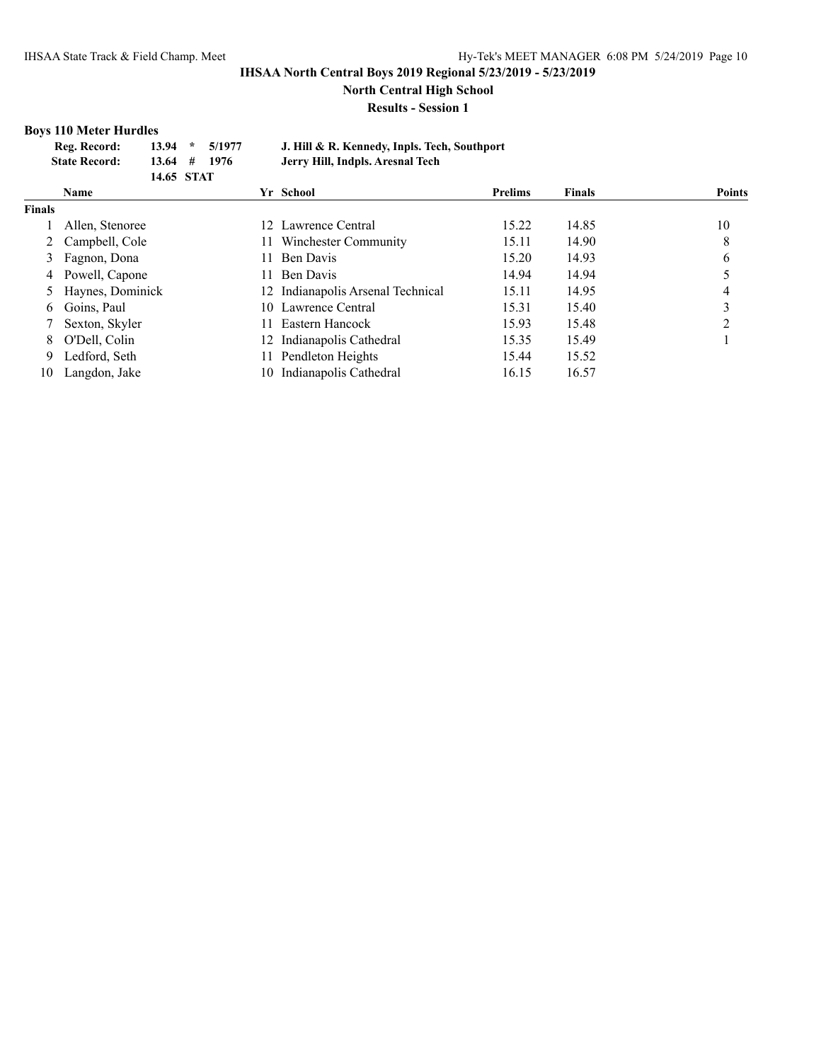**North Central High School**

**Results - Session 1**

#### **Boys 110 Meter Hurdles**

| Reg. Record:         | $13.94$ *      | 5/1977 | J. Hill & R. Kennedy, Inpls. Tech, Southport |  |
|----------------------|----------------|--------|----------------------------------------------|--|
|                      |                |        |                                              |  |
| <b>State Record:</b> | $13.64$ # 1976 |        | Jerry Hill, Indpls. Aresnal Tech             |  |
|                      | 14.65 STAT     |        |                                              |  |
|                      |                |        |                                              |  |

|               | Name               | Yr School                         | <b>Prelims</b> | <b>Finals</b> | <b>Points</b> |
|---------------|--------------------|-----------------------------------|----------------|---------------|---------------|
| <b>Finals</b> |                    |                                   |                |               |               |
|               | Allen, Stenoree    | 12 Lawrence Central               | 15.22          | 14.85         | 10            |
|               | Campbell, Cole     | Winchester Community<br>11.       | 15.11          | 14.90         | 8             |
|               | Fagnon, Dona       | Ben Davis<br>11.                  | 15.20          | 14.93         | 6             |
|               | 4 Powell, Capone   | Ben Davis<br>11.                  | 14.94          | 14.94         |               |
|               | 5 Haynes, Dominick | 12 Indianapolis Arsenal Technical | 15.11          | 14.95         |               |
| 6.            | Goins, Paul        | 10 Lawrence Central               | 15.31          | 15.40         |               |
|               | Sexton, Skyler     | Eastern Hancock<br>11.            | 15.93          | 15.48         | ↑             |
| 8             | O'Dell, Colin      | 12 Indianapolis Cathedral         | 15.35          | 15.49         |               |
| 9             | Ledford, Seth      | Pendleton Heights<br>11.          | 15.44          | 15.52         |               |
| 10            | Langdon, Jake      | 10 Indianapolis Cathedral         | 16.15          | 16.57         |               |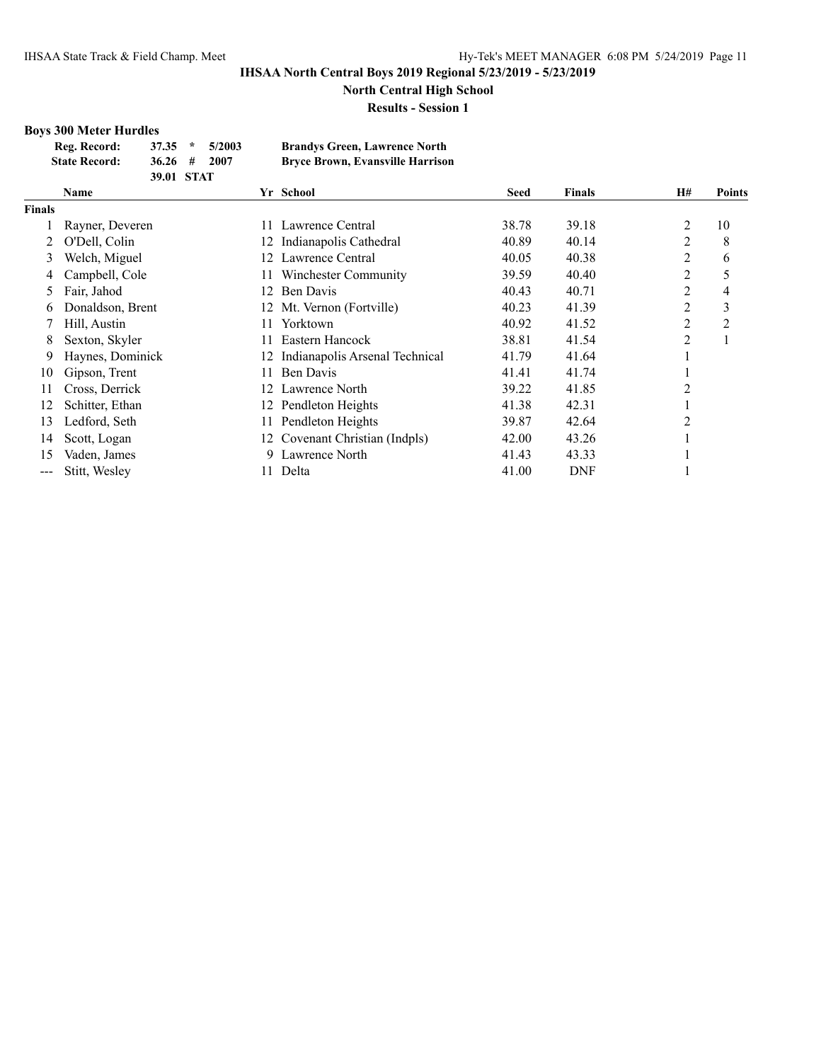**North Central High School**

**Results - Session 1**

# **Boys 300 Meter Hurdles**

| Reg. Record:         | $37.35$ *   | 5/2003 | <b>Brandys Green, Lawrence North</b>    |
|----------------------|-------------|--------|-----------------------------------------|
| <b>State Record:</b> | $36.26 \pm$ | 2007   | <b>Bryce Brown, Evansville Harrison</b> |
|                      | 39.01 STAT  |        |                                         |

|               | Name             | Yr School                      | <b>Seed</b> | <b>Finals</b> | H#             | <b>Points</b>  |
|---------------|------------------|--------------------------------|-------------|---------------|----------------|----------------|
| <b>Finals</b> |                  |                                |             |               |                |                |
|               | Rayner, Deveren  | Lawrence Central<br>11         | 38.78       | 39.18         | 2              | 10             |
|               | O'Dell, Colin    | Indianapolis Cathedral<br>12   | 40.89       | 40.14         | $\overline{2}$ | 8              |
| 3             | Welch, Miguel    | Lawrence Central<br>12         | 40.05       | 40.38         | 2              | 6              |
| 4             | Campbell, Cole   | Winchester Community<br>11     | 39.59       | 40.40         | $\overline{2}$ | 5              |
| 5.            | Fair, Jahod      | Ben Davis<br>12                | 40.43       | 40.71         | 2              | 4              |
| 6.            | Donaldson, Brent | Mt. Vernon (Fortville)<br>12   | 40.23       | 41.39         | 2              | 3              |
|               | Hill, Austin     | Yorktown<br>11.                | 40.92       | 41.52         | 2              | $\overline{2}$ |
| 8             | Sexton, Skyler   | Eastern Hancock<br>11.         | 38.81       | 41.54         | 2              |                |
| 9             | Haynes, Dominick | Indianapolis Arsenal Technical | 41.79       | 41.64         |                |                |
| 10            | Gipson, Trent    | Ben Davis<br>11                | 41.41       | 41.74         |                |                |
| 11            | Cross, Derrick   | Lawrence North<br>12           | 39.22       | 41.85         | 2              |                |
| 12            | Schitter, Ethan  | Pendleton Heights<br>12        | 41.38       | 42.31         |                |                |
| 13            | Ledford, Seth    | Pendleton Heights<br>11        | 39.87       | 42.64         | 2              |                |
| 14            | Scott, Logan     | 12 Covenant Christian (Indpls) | 42.00       | 43.26         |                |                |
| 15            | Vaden, James     | Lawrence North<br>9            | 41.43       | 43.33         |                |                |
| ---           | Stitt, Wesley    | Delta                          | 41.00       | <b>DNF</b>    |                |                |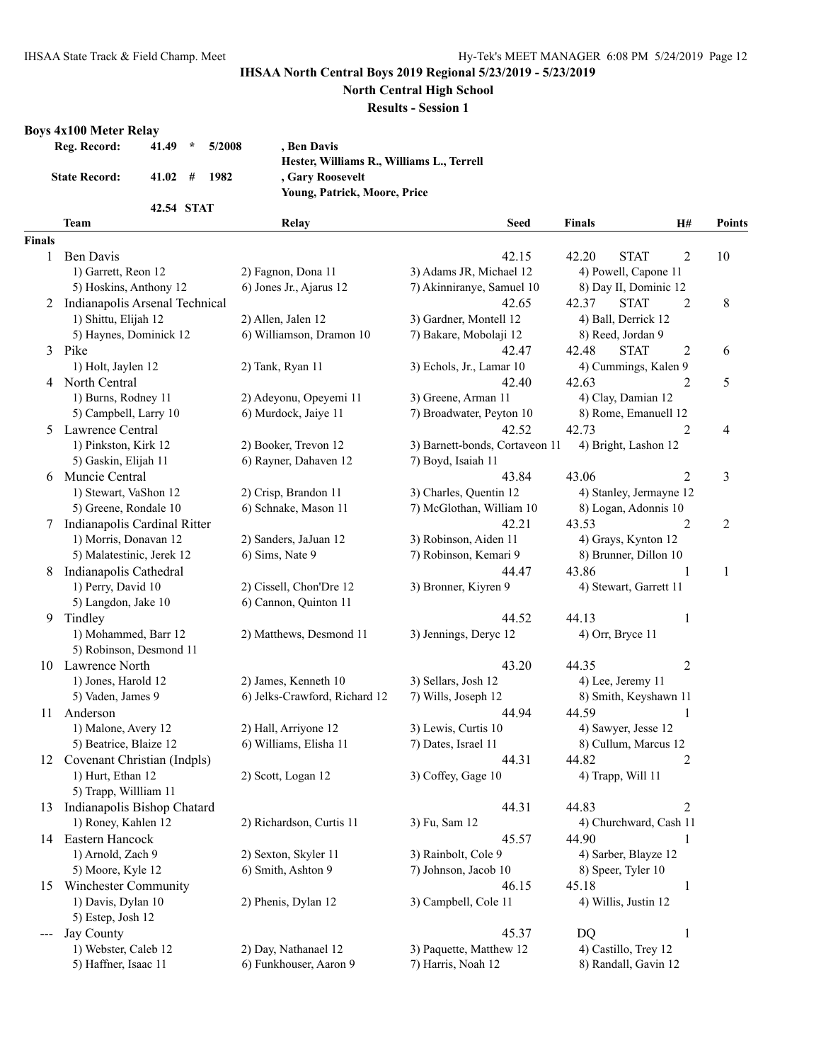**North Central High School**

**Results - Session 1**

#### **Boys 4x100 Meter Relay**

| Reg. Record:         | $\mathcal{R}$<br>41.49     | 5/2008<br>, Ben Davis                     |
|----------------------|----------------------------|-------------------------------------------|
|                      |                            | Hester, Williams R., Williams L., Terrell |
| <b>State Record:</b> | $41.02 \quad # \quad 1982$ | , Gary Roosevelt                          |
|                      |                            | <b>Young, Patrick, Moore, Price</b>       |
|                      | 42.54 STAT                 |                                           |

|                            | 42.54 STAT                     |                               |                                |                         |                |               |
|----------------------------|--------------------------------|-------------------------------|--------------------------------|-------------------------|----------------|---------------|
|                            | Team                           | Relay                         | <b>Seed</b>                    | Finals                  | Н#             | <b>Points</b> |
| <b>Finals</b>              |                                |                               |                                |                         |                |               |
| 1                          | Ben Davis                      |                               | 42.15                          | 42.20<br><b>STAT</b>    | $\overline{2}$ | 10            |
|                            | 1) Garrett, Reon 12            | 2) Fagnon, Dona 11            | 3) Adams JR, Michael 12        | 4) Powell, Capone 11    |                |               |
|                            | 5) Hoskins, Anthony 12         | 6) Jones Jr., Ajarus 12       | 7) Akinniranye, Samuel 10      | 8) Day II, Dominic 12   |                |               |
| 2                          | Indianapolis Arsenal Technical |                               | 42.65                          | <b>STAT</b><br>42.37    | $\overline{2}$ | 8             |
|                            | 1) Shittu, Elijah 12           | 2) Allen, Jalen 12            | 3) Gardner, Montell 12         | 4) Ball, Derrick 12     |                |               |
|                            | 5) Haynes, Dominick 12         | 6) Williamson, Dramon 10      | 7) Bakare, Mobolaji 12         | 8) Reed, Jordan 9       |                |               |
|                            | 3 Pike                         |                               | 42.47                          | <b>STAT</b><br>42.48    | 2              | 6             |
|                            | 1) Holt, Jaylen 12             | 2) Tank, Ryan 11              | 3) Echols, Jr., Lamar 10       | 4) Cummings, Kalen 9    |                |               |
|                            | 4 North Central                |                               | 42.40                          | 42.63                   | 2              | 5             |
|                            | 1) Burns, Rodney 11            | 2) Adeyonu, Opeyemi 11        | 3) Greene, Arman 11            | 4) Clay, Damian 12      |                |               |
|                            | 5) Campbell, Larry 10          | 6) Murdock, Jaiye 11          | 7) Broadwater, Peyton 10       | 8) Rome, Emanuell 12    |                |               |
|                            | 5 Lawrence Central             |                               | 42.52                          | 42.73                   | $\overline{2}$ | 4             |
|                            | 1) Pinkston, Kirk 12           | 2) Booker, Trevon 12          | 3) Barnett-bonds, Cortaveon 11 | 4) Bright, Lashon 12    |                |               |
|                            | 5) Gaskin, Elijah 11           | 6) Rayner, Dahaven 12         | 7) Boyd, Isaiah 11             |                         |                |               |
|                            | 6 Muncie Central               |                               | 43.84                          | 43.06                   | $\overline{2}$ | 3             |
|                            | 1) Stewart, VaShon 12          | 2) Crisp, Brandon 11          | 3) Charles, Quentin 12         | 4) Stanley, Jermayne 12 |                |               |
|                            | 5) Greene, Rondale 10          | 6) Schnake, Mason 11          | 7) McGlothan, William 10       | 8) Logan, Adonnis 10    |                |               |
| 7                          | Indianapolis Cardinal Ritter   |                               | 42.21                          | 43.53                   | $\overline{2}$ | 2             |
|                            | 1) Morris, Donavan 12          | 2) Sanders, JaJuan 12         | 3) Robinson, Aiden 11          | 4) Grays, Kynton 12     |                |               |
|                            | 5) Malatestinic, Jerek 12      | 6) Sims, Nate 9               | 7) Robinson, Kemari 9          | 8) Brunner, Dillon 10   |                |               |
|                            |                                |                               |                                | 43.86                   | 1              |               |
| 8                          | Indianapolis Cathedral         |                               | 44.47                          |                         |                | 1             |
|                            | 1) Perry, David 10             | 2) Cissell, Chon'Dre 12       | 3) Bronner, Kiyren 9           | 4) Stewart, Garrett 11  |                |               |
|                            | 5) Langdon, Jake 10            | 6) Cannon, Quinton 11         |                                |                         |                |               |
| 9.                         | Tindley                        |                               | 44.52                          | 44.13                   | 1              |               |
|                            | 1) Mohammed, Barr 12           | 2) Matthews, Desmond 11       | 3) Jennings, Deryc 12          | 4) Orr, Bryce 11        |                |               |
|                            | 5) Robinson, Desmond 11        |                               |                                |                         |                |               |
|                            | 10 Lawrence North              |                               | 43.20                          | 44.35                   | $\overline{c}$ |               |
|                            | 1) Jones, Harold 12            | 2) James, Kenneth 10          | 3) Sellars, Josh 12            | 4) Lee, Jeremy 11       |                |               |
|                            | 5) Vaden, James 9              | 6) Jelks-Crawford, Richard 12 | 7) Wills, Joseph 12            | 8) Smith, Keyshawn 11   |                |               |
| 11                         | Anderson                       |                               | 44.94                          | 44.59                   | 1              |               |
|                            | 1) Malone, Avery 12            | 2) Hall, Arriyone 12          | 3) Lewis, Curtis 10            | 4) Sawyer, Jesse 12     |                |               |
|                            | 5) Beatrice, Blaize 12         | 6) Williams, Elisha 11        | 7) Dates, Israel 11            | 8) Cullum, Marcus 12    |                |               |
|                            | 12 Covenant Christian (Indpls) |                               | 44.31                          | 44.82                   | 2              |               |
|                            | 1) Hurt, Ethan 12              | 2) Scott, Logan 12            | 3) Coffey, Gage 10             | 4) Trapp, Will 11       |                |               |
|                            | 5) Trapp, Willliam 11          |                               |                                |                         |                |               |
|                            | 13 Indianapolis Bishop Chatard |                               | 44.31                          | 44.83                   | 2              |               |
|                            | 1) Roney, Kahlen 12            | 2) Richardson, Curtis 11      | 3) Fu, Sam 12                  | 4) Churchward, Cash 11  |                |               |
| 14                         | Eastern Hancock                |                               | 45.57                          | 44.90                   | 1              |               |
|                            | 1) Arnold, Zach 9              | 2) Sexton, Skyler 11          | 3) Rainbolt, Cole 9            | 4) Sarber, Blayze 12    |                |               |
|                            | 5) Moore, Kyle 12              | 6) Smith, Ashton 9            | 7) Johnson, Jacob 10           | 8) Speer, Tyler 10      |                |               |
| 15                         | <b>Winchester Community</b>    |                               | 46.15                          | 45.18                   | $\mathbf{1}$   |               |
|                            | 1) Davis, Dylan 10             | 2) Phenis, Dylan 12           | 3) Campbell, Cole 11           | 4) Willis, Justin 12    |                |               |
|                            | 5) Estep, Josh 12              |                               |                                |                         |                |               |
| $\qquad \qquad \text{---}$ | Jay County                     |                               | 45.37                          | <b>DQ</b>               | $\mathbf{1}$   |               |
|                            | 1) Webster, Caleb 12           | 2) Day, Nathanael 12          | 3) Paquette, Matthew 12        | 4) Castillo, Trey 12    |                |               |
|                            | 5) Haffner, Isaac 11           | 6) Funkhouser, Aaron 9        | 7) Harris, Noah 12             | 8) Randall, Gavin 12    |                |               |
|                            |                                |                               |                                |                         |                |               |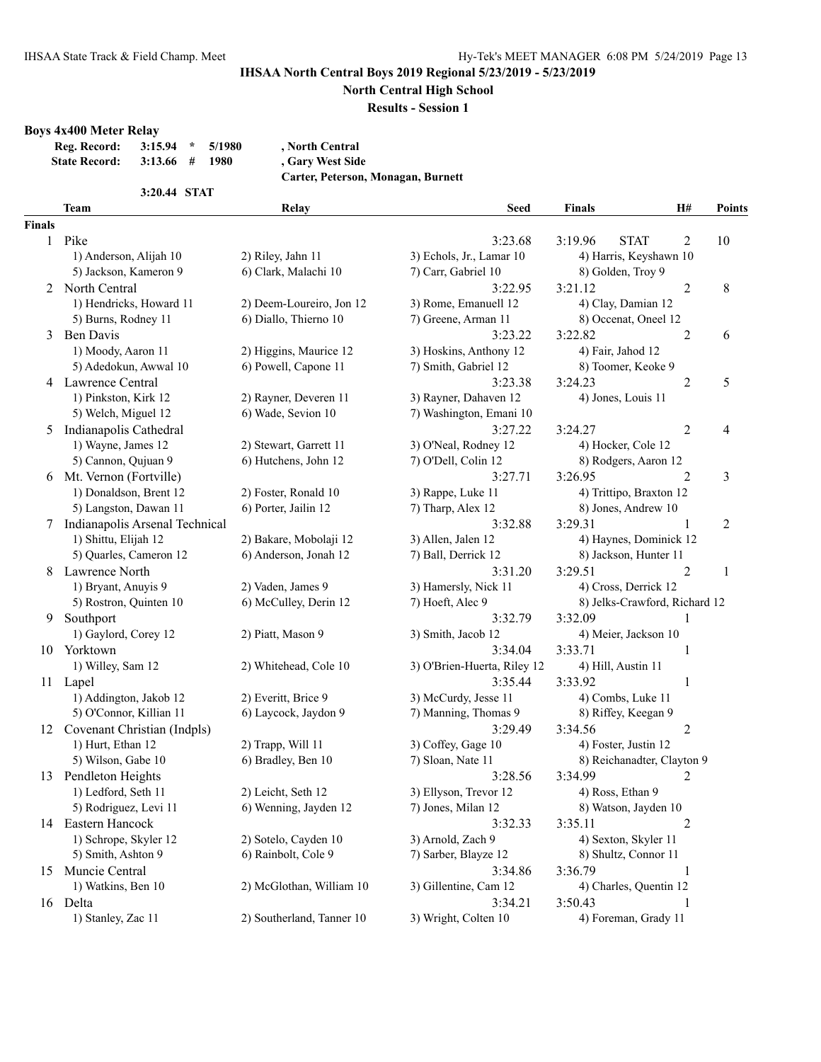**North Central High School**

#### **Results - Session 1**

#### **Boys 4x400 Meter Relay**

| Reg. Record:         | $3:15.94$ * $5/1980$ |      | , North Central  |
|----------------------|----------------------|------|------------------|
| <b>State Record:</b> | $3:13.66$ #          | 1980 | , Gary West Side |

**3:20.44 STAT**

**Carter, Peterson, Monagan, Burnett**

|               | <b>Team</b>                    | Relay                     | <b>Seed</b>                 | <b>Finals</b>                 | <b>H#</b>        | <b>Points</b>  |
|---------------|--------------------------------|---------------------------|-----------------------------|-------------------------------|------------------|----------------|
| <b>Finals</b> |                                |                           |                             |                               |                  |                |
|               | 1 Pike                         |                           | 3:23.68                     | 3:19.96<br><b>STAT</b>        | $\overline{2}$   | 10             |
|               | 1) Anderson, Alijah 10         | 2) Riley, Jahn 11         | 3) Echols, Jr., Lamar 10    | 4) Harris, Keyshawn 10        |                  |                |
|               | 5) Jackson, Kameron 9          | 6) Clark, Malachi 10      | 7) Carr, Gabriel 10         | 8) Golden, Troy 9             |                  |                |
| 2             | North Central                  |                           | 3:22.95                     | 3:21.12                       | $\overline{2}$   | 8              |
|               | 1) Hendricks, Howard 11        | 2) Deem-Loureiro, Jon 12  | 3) Rome, Emanuell 12        | 4) Clay, Damian 12            |                  |                |
|               | 5) Burns, Rodney 11            | 6) Diallo, Thierno 10     | 7) Greene, Arman 11         | 8) Occenat, Oneel 12          |                  |                |
| 3             | <b>Ben Davis</b>               |                           | 3:23.22                     | 3:22.82                       | $\overline{2}$   | 6              |
|               | 1) Moody, Aaron 11             | 2) Higgins, Maurice 12    | 3) Hoskins, Anthony 12      | 4) Fair, Jahod 12             |                  |                |
|               | 5) Adedokun, Awwal 10          | 6) Powell, Capone 11      | 7) Smith, Gabriel 12        | 8) Toomer, Keoke 9            |                  |                |
|               | 4 Lawrence Central             |                           | 3:23.38                     | 3:24.23                       | $\overline{2}$   | 5              |
|               | 1) Pinkston, Kirk 12           | 2) Rayner, Deveren 11     | 3) Rayner, Dahaven 12       | 4) Jones, Louis 11            |                  |                |
|               | 5) Welch, Miguel 12            | 6) Wade, Sevion 10        | 7) Washington, Emani 10     |                               |                  |                |
| 5             | Indianapolis Cathedral         |                           | 3:27.22                     | 3:24.27                       | $\overline{c}$   | 4              |
|               | 1) Wayne, James 12             | 2) Stewart, Garrett 11    | 3) O'Neal, Rodney 12        | 4) Hocker, Cole 12            |                  |                |
|               | 5) Cannon, Qujuan 9            | 6) Hutchens, John 12      | 7) O'Dell, Colin 12         | 8) Rodgers, Aaron 12          |                  |                |
|               | 6 Mt. Vernon (Fortville)       |                           | 3:27.71                     | 3:26.95                       | $\overline{2}$   | 3              |
|               | 1) Donaldson, Brent 12         | 2) Foster, Ronald 10      | 3) Rappe, Luke 11           | 4) Trittipo, Braxton 12       |                  |                |
|               | 5) Langston, Dawan 11          | 6) Porter, Jailin 12      | 7) Tharp, Alex 12           | 8) Jones, Andrew 10           |                  |                |
|               | Indianapolis Arsenal Technical |                           | 3:32.88                     | 3:29.31                       | 1                | $\overline{c}$ |
|               | 1) Shittu, Elijah 12           | 2) Bakare, Mobolaji 12    | 3) Allen, Jalen 12          | 4) Haynes, Dominick 12        |                  |                |
|               | 5) Quarles, Cameron 12         | 6) Anderson, Jonah 12     | 7) Ball, Derrick 12         | 8) Jackson, Hunter 11         |                  |                |
| 8             | Lawrence North                 |                           | 3:31.20                     | 3:29.51                       | $\overline{2}$   | 1              |
|               | 1) Bryant, Anuyis 9            | 2) Vaden, James 9         | 3) Hamersly, Nick 11        | 4) Cross, Derrick 12          |                  |                |
|               | 5) Rostron, Quinten 10         | 6) McCulley, Derin 12     | 7) Hoeft, Alec 9            | 8) Jelks-Crawford, Richard 12 |                  |                |
| 9             | Southport                      |                           | 3:32.79                     | 3:32.09                       | 1                |                |
|               | 1) Gaylord, Corey 12           | 2) Piatt, Mason 9         | 3) Smith, Jacob 12          | 4) Meier, Jackson 10          |                  |                |
|               | 10 Yorktown                    |                           | 3:34.04                     | 3:33.71                       | 1                |                |
|               | 1) Willey, Sam 12              | 2) Whitehead, Cole 10     | 3) O'Brien-Huerta, Riley 12 | 4) Hill, Austin 11            |                  |                |
|               | 11 Lapel                       |                           | 3:35.44                     | 3:33.92                       | 1                |                |
|               | 1) Addington, Jakob 12         | 2) Everitt, Brice 9       | 3) McCurdy, Jesse 11        | 4) Combs, Luke 11             |                  |                |
|               | 5) O'Connor, Killian 11        | 6) Laycock, Jaydon 9      | 7) Manning, Thomas 9        | 8) Riffey, Keegan 9           |                  |                |
|               | 12 Covenant Christian (Indpls) |                           | 3:29.49                     | 3:34.56                       | $\boldsymbol{2}$ |                |
|               | 1) Hurt, Ethan 12              | 2) Trapp, Will 11         | 3) Coffey, Gage 10          | 4) Foster, Justin 12          |                  |                |
|               | 5) Wilson, Gabe 10             | 6) Bradley, Ben 10        | 7) Sloan, Nate 11           | 8) Reichanadter, Clayton 9    |                  |                |
| 13            | Pendleton Heights              |                           | 3:28.56                     | 3:34.99                       | $\overline{c}$   |                |
|               | 1) Ledford, Seth 11            | 2) Leicht, Seth 12        | 3) Ellyson, Trevor 12       | 4) Ross, Ethan 9              |                  |                |
|               | 5) Rodriguez, Levi 11          | 6) Wenning, Jayden 12     | 7) Jones, Milan 12          | 8) Watson, Jayden 10          |                  |                |
|               | 14 Eastern Hancock             |                           | 3:32.33                     | 3:35.11                       | 2                |                |
|               | 1) Schrope, Skyler 12          | 2) Sotelo, Cayden 10      | 3) Arnold, Zach 9           | 4) Sexton, Skyler 11          |                  |                |
|               | 5) Smith, Ashton 9             | 6) Rainbolt, Cole 9       | 7) Sarber, Blayze 12        | 8) Shultz, Connor 11          |                  |                |
|               | 15 Muncie Central              |                           | 3:34.86                     | 3:36.79                       | $\mathbf{1}$     |                |
|               | 1) Watkins, Ben 10             | 2) McGlothan, William 10  | 3) Gillentine, Cam 12       | 4) Charles, Quentin 12        |                  |                |
|               | 16 Delta                       |                           | 3:34.21                     | 3:50.43                       | 1                |                |
|               | 1) Stanley, Zac 11             | 2) Southerland, Tanner 10 | 3) Wright, Colten 10        | 4) Foreman, Grady 11          |                  |                |
|               |                                |                           |                             |                               |                  |                |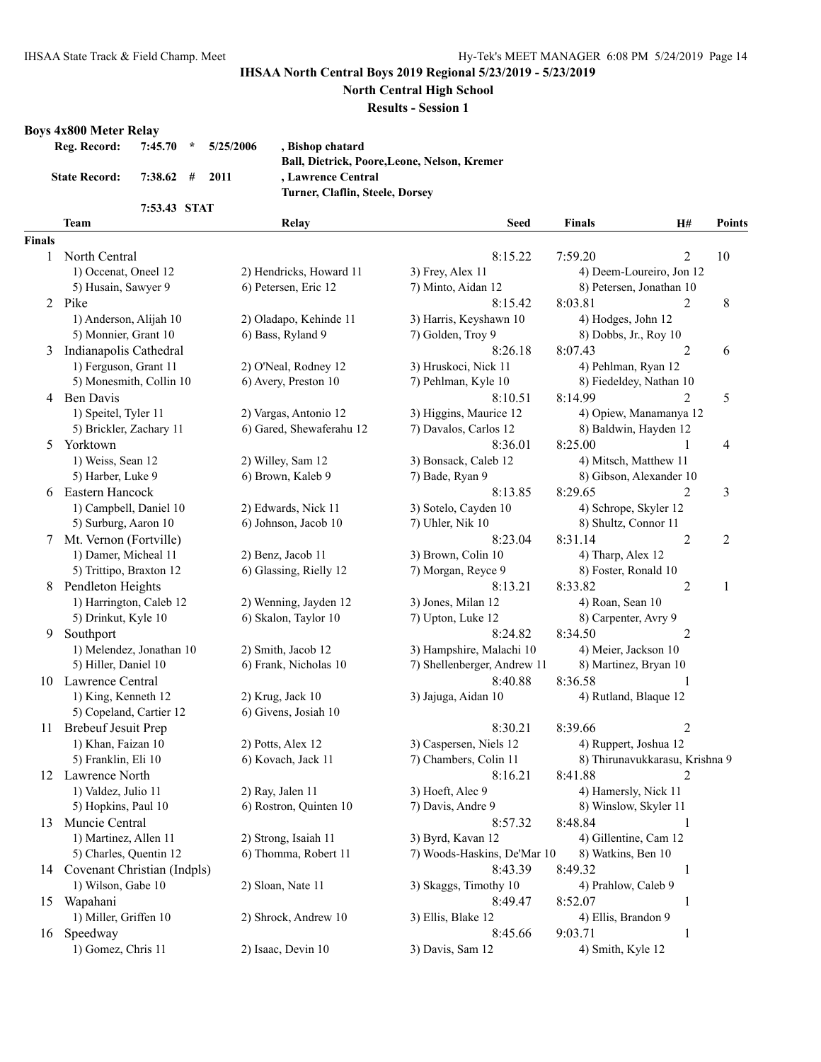**North Central High School**

**Results - Session 1**

# **Boys 4x800 Meter Relay**

| Reg. Record:         |                              | $7:45.70$ * $5/25/2006$ | , Bishop chatard                                    |
|----------------------|------------------------------|-------------------------|-----------------------------------------------------|
|                      |                              |                         | <b>Ball, Dietrick, Poore, Leone, Nelson, Kremer</b> |
| <b>State Record:</b> | $7:38.62 \quad # \quad 2011$ |                         | , Lawrence Central                                  |
|                      |                              |                         | Turner, Claflin, Steele, Dorsey                     |
|                      | 7:53.43 STAT                 |                         |                                                     |

|               | <b>Team</b>                    | Relay                    | <b>Seed</b>                 | <b>Finals</b>                  | H#             | Points         |
|---------------|--------------------------------|--------------------------|-----------------------------|--------------------------------|----------------|----------------|
| <b>Finals</b> |                                |                          |                             |                                |                |                |
| 1             | North Central                  |                          | 8:15.22                     | 7:59.20                        | $\overline{c}$ | 10             |
|               | 1) Occenat, Oneel 12           | 2) Hendricks, Howard 11  | 3) Frey, Alex 11            | 4) Deem-Loureiro, Jon 12       |                |                |
|               | 5) Husain, Sawyer 9            | 6) Petersen, Eric 12     | 7) Minto, Aidan 12          | 8) Petersen, Jonathan 10       |                |                |
|               | 2 Pike                         |                          | 8:15.42                     | 8:03.81                        | 2              | 8              |
|               | 1) Anderson, Alijah 10         | 2) Oladapo, Kehinde 11   | 3) Harris, Keyshawn 10      | 4) Hodges, John 12             |                |                |
|               | 5) Monnier, Grant 10           | 6) Bass, Ryland 9        | 7) Golden, Troy 9           | 8) Dobbs, Jr., Roy 10          |                |                |
| 3             | Indianapolis Cathedral         |                          | 8:26.18                     | 8:07.43                        | $\overline{2}$ | 6              |
|               | 1) Ferguson, Grant 11          | 2) O'Neal, Rodney 12     | 3) Hruskoci, Nick 11        | 4) Pehlman, Ryan 12            |                |                |
|               | 5) Monesmith, Collin 10        | 6) Avery, Preston 10     | 7) Pehlman, Kyle 10         | 8) Fiedeldey, Nathan 10        |                |                |
| 4             | <b>Ben Davis</b>               |                          | 8:10.51                     | 8:14.99                        | 2              | 5              |
|               | 1) Speitel, Tyler 11           | 2) Vargas, Antonio 12    | 3) Higgins, Maurice 12      | 4) Opiew, Manamanya 12         |                |                |
|               | 5) Brickler, Zachary 11        | 6) Gared, Shewaferahu 12 | 7) Davalos, Carlos 12       | 8) Baldwin, Hayden 12          |                |                |
| 5             | Yorktown                       |                          | 8:36.01                     | 8:25.00                        | 1              | 4              |
|               | 1) Weiss, Sean 12              | 2) Willey, Sam 12        | 3) Bonsack, Caleb 12        | 4) Mitsch, Matthew 11          |                |                |
|               | 5) Harber, Luke 9              | 6) Brown, Kaleb 9        | 7) Bade, Ryan 9             | 8) Gibson, Alexander 10        |                |                |
| 6             | Eastern Hancock                |                          | 8:13.85                     | 8:29.65                        | 2              | 3              |
|               | 1) Campbell, Daniel 10         | 2) Edwards, Nick 11      | 3) Sotelo, Cayden 10        | 4) Schrope, Skyler 12          |                |                |
|               | 5) Surburg, Aaron 10           | 6) Johnson, Jacob 10     | 7) Uhler, Nik 10            | 8) Shultz, Connor 11           |                |                |
| 7             | Mt. Vernon (Fortville)         |                          | 8:23.04                     | 8:31.14                        | $\overline{2}$ | $\overline{c}$ |
|               | 1) Damer, Micheal 11           | 2) Benz, Jacob 11        | 3) Brown, Colin 10          | 4) Tharp, Alex 12              |                |                |
|               | 5) Trittipo, Braxton 12        | 6) Glassing, Rielly 12   | 7) Morgan, Reyce 9          | 8) Foster, Ronald 10           |                |                |
| 8             | Pendleton Heights              |                          | 8:13.21                     | 8:33.82                        | $\overline{2}$ | 1              |
|               | 1) Harrington, Caleb 12        | 2) Wenning, Jayden 12    | 3) Jones, Milan 12          | 4) Roan, Sean 10               |                |                |
|               | 5) Drinkut, Kyle 10            | 6) Skalon, Taylor 10     | 7) Upton, Luke 12           | 8) Carpenter, Avry 9           |                |                |
| 9             | Southport                      |                          | 8:24.82                     | 8:34.50                        | $\overline{2}$ |                |
|               | 1) Melendez, Jonathan 10       | 2) Smith, Jacob 12       | 3) Hampshire, Malachi 10    | 4) Meier, Jackson 10           |                |                |
|               | 5) Hiller, Daniel 10           | 6) Frank, Nicholas 10    | 7) Shellenberger, Andrew 11 | 8) Martinez, Bryan 10          |                |                |
|               | 10 Lawrence Central            |                          | 8:40.88                     | 8:36.58                        | 1              |                |
|               | 1) King, Kenneth 12            | 2) Krug, Jack 10         | 3) Jajuga, Aidan 10         | 4) Rutland, Blaque 12          |                |                |
|               | 5) Copeland, Cartier 12        | 6) Givens, Josiah 10     |                             |                                |                |                |
| 11            | <b>Brebeuf Jesuit Prep</b>     |                          | 8:30.21                     | 8:39.66                        | $\overline{2}$ |                |
|               | 1) Khan, Faizan 10             | 2) Potts, Alex 12        | 3) Caspersen, Niels 12      | 4) Ruppert, Joshua 12          |                |                |
|               | 5) Franklin, Eli 10            | 6) Kovach, Jack 11       | 7) Chambers, Colin 11       | 8) Thirunavukkarasu, Krishna 9 |                |                |
|               | 12 Lawrence North              |                          | 8:16.21                     | 8:41.88                        | $\overline{2}$ |                |
|               | 1) Valdez, Julio 11            | 2) Ray, Jalen 11         | 3) Hoeft, Alec 9            | 4) Hamersly, Nick 11           |                |                |
|               | 5) Hopkins, Paul 10            | 6) Rostron, Quinten 10   | 7) Davis, Andre 9           | 8) Winslow, Skyler 11          |                |                |
|               | 13 Muncie Central              |                          | 8:57.32                     | 8:48.84                        | 1              |                |
|               | 1) Martinez, Allen 11          | 2) Strong, Isaiah 11     | 3) Byrd, Kavan 12           | 4) Gillentine, Cam 12          |                |                |
|               | 5) Charles, Quentin 12         | 6) Thomma, Robert 11     | 7) Woods-Haskins, De'Mar 10 | 8) Watkins, Ben 10             |                |                |
|               | 14 Covenant Christian (Indpls) |                          | 8:43.39                     | 8:49.32                        | $\mathbf{1}$   |                |
|               | 1) Wilson, Gabe 10             | 2) Sloan, Nate 11        | 3) Skaggs, Timothy 10       | 4) Prahlow, Caleb 9            |                |                |
| 15            | Wapahani                       |                          | 8:49.47                     | 8:52.07                        | 1              |                |
|               | 1) Miller, Griffen 10          | 2) Shrock, Andrew 10     | 3) Ellis, Blake 12          | 4) Ellis, Brandon 9            |                |                |
| 16            | Speedway                       |                          | 8:45.66                     | 9:03.71                        | $\mathbf{1}$   |                |
|               | 1) Gomez, Chris 11             | 2) Isaac, Devin 10       | 3) Davis, Sam 12            | 4) Smith, Kyle 12              |                |                |
|               |                                |                          |                             |                                |                |                |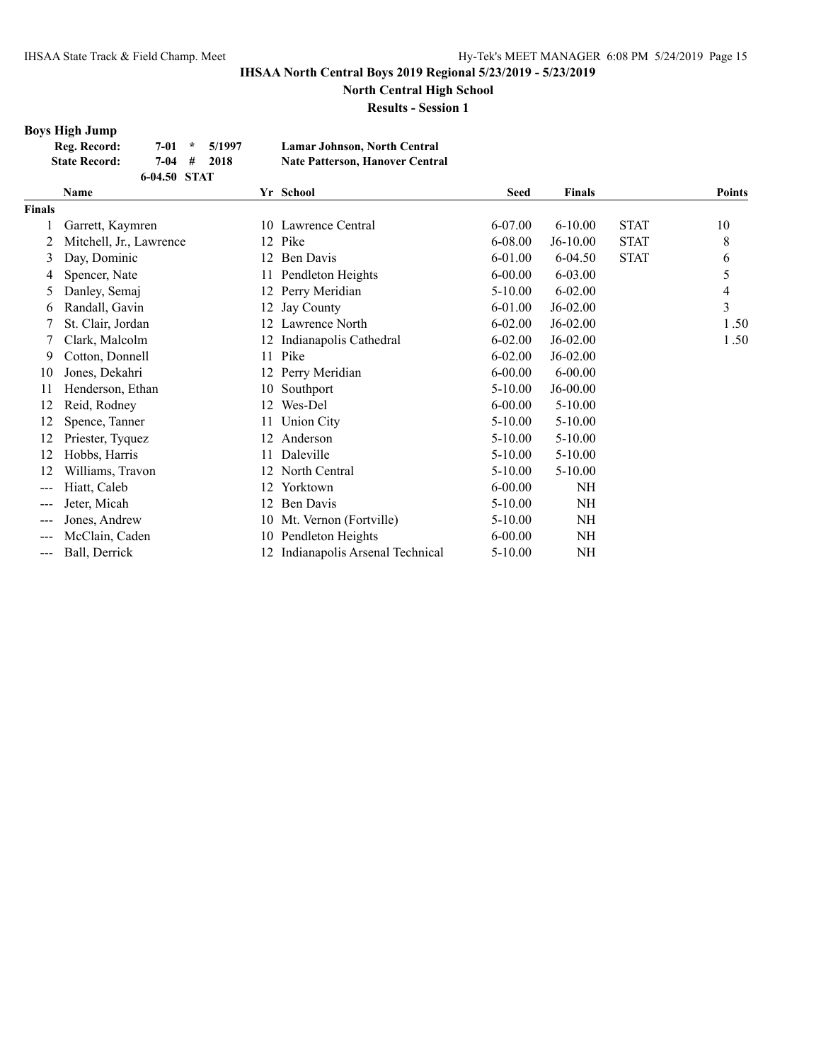**North Central High School**

**Results - Session 1**

# **Boys High Jump**

| Reg. Record:         |              | $7-01$ * $5/1997$ | Lamar Johnson, North Central           |
|----------------------|--------------|-------------------|----------------------------------------|
| <b>State Record:</b> | 7-04 #       | -2018             | <b>Nate Patterson, Hanover Central</b> |
|                      | 6-04.50 STAT |                   |                                        |

|        | Yr School<br><b>Name</b> |    |                                | <b>Seed</b> | <b>Finals</b> |             | <b>Points</b> |
|--------|--------------------------|----|--------------------------------|-------------|---------------|-------------|---------------|
| Finals |                          |    |                                |             |               |             |               |
|        | Garrett, Kaymren         |    | 10 Lawrence Central            | 6-07.00     | $6 - 10.00$   | <b>STAT</b> | 10            |
| 2      | Mitchell, Jr., Lawrence  |    | 12 Pike                        | 6-08.00     | J6-10.00      | <b>STAT</b> | 8             |
| 3      | Day, Dominic             |    | Ben Davis                      | 6-01.00     | $6 - 04.50$   | <b>STAT</b> | 6             |
| 4      | Spencer, Nate            |    | Pendleton Heights              | $6 - 00.00$ | 6-03.00       |             | 5             |
| 5      | Danley, Semaj            | 12 | Perry Meridian                 | $5-10.00$   | $6 - 02.00$   |             | 4             |
| 6      | Randall, Gavin           | 12 | Jay County                     | 6-01.00     | J6-02.00      |             | 3             |
|        | St. Clair, Jordan        | 12 | Lawrence North                 | $6 - 02.00$ | $J6-02.00$    |             | 1.50          |
|        | Clark, Malcolm           |    | Indianapolis Cathedral         | $6 - 02.00$ | $J6-02.00$    |             | 1.50          |
| 9      | Cotton, Donnell          | 11 | Pike                           | $6 - 02.00$ | J6-02.00      |             |               |
| 10     | Jones, Dekahri           | 12 | Perry Meridian                 | $6 - 00.00$ | $6 - 00.00$   |             |               |
| 11     | Henderson, Ethan         | 10 | Southport                      | $5-10.00$   | J6-00.00      |             |               |
| 12     | Reid, Rodney             | 12 | Wes-Del                        | $6 - 00.00$ | $5 - 10.00$   |             |               |
| 12     | Spence, Tanner           | 11 | Union City                     | $5 - 10.00$ | $5 - 10.00$   |             |               |
| 12     | Priester, Tyquez         | 12 | Anderson                       | 5-10.00     | $5 - 10.00$   |             |               |
| 12     | Hobbs, Harris            | 11 | Daleville                      | $5-10.00$   | $5 - 10.00$   |             |               |
| 12     | Williams, Travon         |    | North Central                  | 5-10.00     | $5 - 10.00$   |             |               |
| $---$  | Hiatt, Caleb             | 12 | Yorktown                       | $6 - 00.00$ | <b>NH</b>     |             |               |
| ---    | Jeter, Micah             | 12 | Ben Davis                      | $5-10.00$   | <b>NH</b>     |             |               |
| ---    | Jones, Andrew            | 10 | Mt. Vernon (Fortville)         | 5-10.00     | NH            |             |               |
|        | McClain, Caden           | 10 | Pendleton Heights              | $6 - 00.00$ | <b>NH</b>     |             |               |
| ---    | Ball, Derrick            |    | Indianapolis Arsenal Technical | 5-10.00     | NH            |             |               |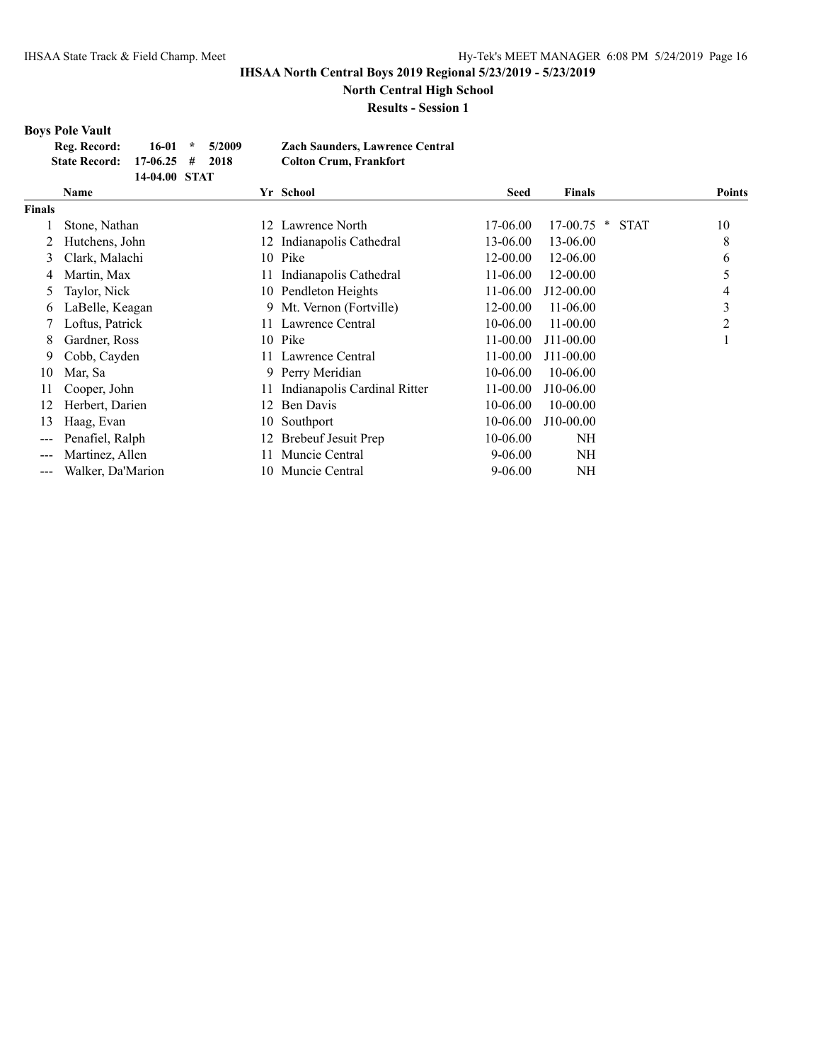**North Central High School**

**Results - Session 1**

#### **Boys Pole Vault**

|               | Reg. Record:<br>$16-01$<br>5/2009<br>$\star$<br><b>State Record:</b><br>17-06.25<br>2018<br>#<br>14-04.00 STAT |    | <b>Zach Saunders, Lawrence Central</b><br><b>Colton Crum, Frankfort</b> |              |                              |               |
|---------------|----------------------------------------------------------------------------------------------------------------|----|-------------------------------------------------------------------------|--------------|------------------------------|---------------|
|               | Name                                                                                                           |    | Yr School                                                               | Seed         | <b>Finals</b>                | <b>Points</b> |
| <b>Finals</b> |                                                                                                                |    |                                                                         |              |                              |               |
|               | Stone, Nathan                                                                                                  | 12 | Lawrence North                                                          | 17-06.00     | <b>STAT</b><br>17-00.75<br>× | 10            |
|               | Hutchens, John                                                                                                 | 12 | Indianapolis Cathedral                                                  | 13-06.00     | 13-06.00                     | 8             |
| 3             | Clark, Malachi                                                                                                 | 10 | Pike                                                                    | 12-00.00     | 12-06.00                     | 6             |
| 4             | Martin, Max                                                                                                    |    | Indianapolis Cathedral                                                  | 11-06.00     | 12-00.00                     | 5             |
| 5             | Taylor, Nick                                                                                                   | 10 | Pendleton Heights                                                       | 11-06.00     | J12-00.00                    | 4             |
| 6             | LaBelle, Keagan                                                                                                |    | 9 Mt. Vernon (Fortville)                                                | 12-00.00     | 11-06.00                     | 3             |
|               | Loftus, Patrick                                                                                                |    | Lawrence Central                                                        | 10-06.00     | $11-00.00$                   | 2             |
| 8             | Gardner, Ross                                                                                                  | 10 | Pike                                                                    | $11 - 00.00$ | $J11-00.00$                  |               |
| 9             | Cobb, Cayden                                                                                                   |    | Lawrence Central                                                        | $11 - 00.00$ | J11-00.00                    |               |
| 10            | Mar, Sa                                                                                                        | 9  | Perry Meridian                                                          | 10-06.00     | 10-06.00                     |               |
| 11            | Cooper, John                                                                                                   |    | Indianapolis Cardinal Ritter                                            | 11-00.00     | J10-06.00                    |               |
| 12            | Herbert, Darien                                                                                                | 12 | Ben Davis                                                               | 10-06.00     | $10 - 00.00$                 |               |
| 13            | Haag, Evan                                                                                                     | 10 | Southport                                                               | 10-06.00     | J10-00.00                    |               |
| ---           | Penafiel, Ralph                                                                                                |    | Brebeuf Jesuit Prep                                                     | 10-06.00     | <b>NH</b>                    |               |
| ---           | Martinez, Allen                                                                                                |    | Muncie Central                                                          | $9 - 06.00$  | NH                           |               |
| ---           | Walker, Da'Marion                                                                                              | 10 | Muncie Central                                                          | $9 - 06.00$  | NΗ                           |               |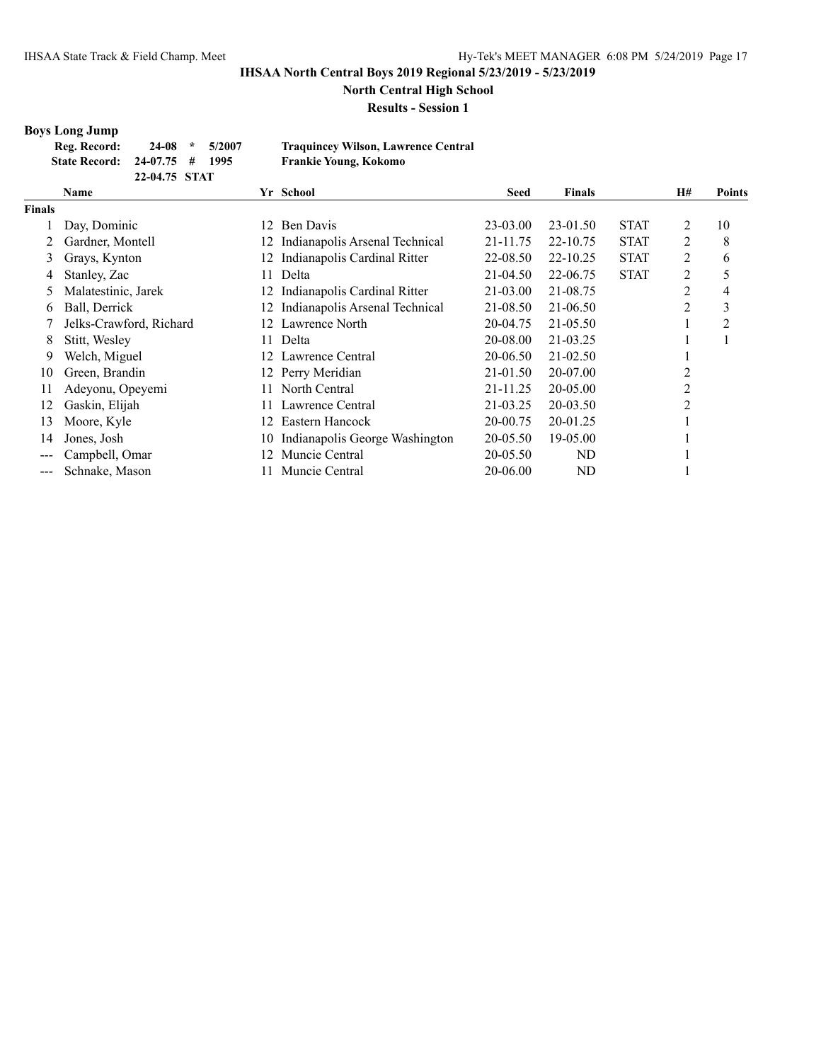**North Central High School**

**Results - Session 1**

# **Boys Long Jump**

| Reg. Record:                  |               | $24-08$ * 5/2007 | <b>Traquincey Wilson, Lawrence Central</b> |
|-------------------------------|---------------|------------------|--------------------------------------------|
| State Record: 24-07.75 # 1995 |               |                  | Frankie Young, Kokomo                      |
|                               | 22-04.75 STAT |                  |                                            |

|        | <b>Name</b>             |     | Yr School                      | <b>Seed</b>  | <b>Finals</b> |             | <b>H#</b> | <b>Points</b>  |
|--------|-------------------------|-----|--------------------------------|--------------|---------------|-------------|-----------|----------------|
| Finals |                         |     |                                |              |               |             |           |                |
|        | Day, Dominic            | 12. | Ben Davis                      | 23-03.00     | 23-01.50      | <b>STAT</b> | 2         | 10             |
|        | Gardner, Montell        | 12. | Indianapolis Arsenal Technical | 21-11.75     | 22-10.75      | <b>STAT</b> | 2         | 8              |
| 3      | Grays, Kynton           | 12  | Indianapolis Cardinal Ritter   | 22-08.50     | 22-10.25      | <b>STAT</b> | 2         | 6              |
| 4      | Stanley, Zac            | 11  | Delta                          | 21-04.50     | 22-06.75      | <b>STAT</b> | 2         | 5              |
| 5      | Malatestinic, Jarek     | 12  | Indianapolis Cardinal Ritter   | $21 - 03.00$ | 21-08.75      |             | 2         | 4              |
| 6      | Ball, Derrick           | 12. | Indianapolis Arsenal Technical | 21-08.50     | 21-06.50      |             | 2         | 3              |
|        | Jelks-Crawford, Richard | 12. | Lawrence North                 | 20-04.75     | 21-05.50      |             |           | $\overline{2}$ |
| 8      | Stitt, Wesley           | 11. | Delta                          | 20-08.00     | 21-03.25      |             |           |                |
| 9      | Welch, Miguel           | 12  | Lawrence Central               | 20-06.50     | $21 - 02.50$  |             |           |                |
| 10     | Green, Brandin          | 12. | Perry Meridian                 | 21-01.50     | 20-07.00      |             | 2         |                |
| 11     | Adeyonu, Opeyemi        |     | North Central                  | 21-11.25     | 20-05.00      |             | 2         |                |
| 12     | Gaskin, Elijah          |     | Lawrence Central               | 21-03.25     | 20-03.50      |             | 2         |                |
| 13     | Moore, Kyle             | 12  | Eastern Hancock                | 20-00.75     | 20-01.25      |             |           |                |
| 14     | Jones, Josh             | 10  | Indianapolis George Washington | 20-05.50     | 19-05.00      |             |           |                |
|        | Campbell, Omar          | 12. | Muncie Central                 | 20-05.50     | ND            |             |           |                |
|        | Schnake, Mason          |     | Muncie Central                 | 20-06.00     | <b>ND</b>     |             |           |                |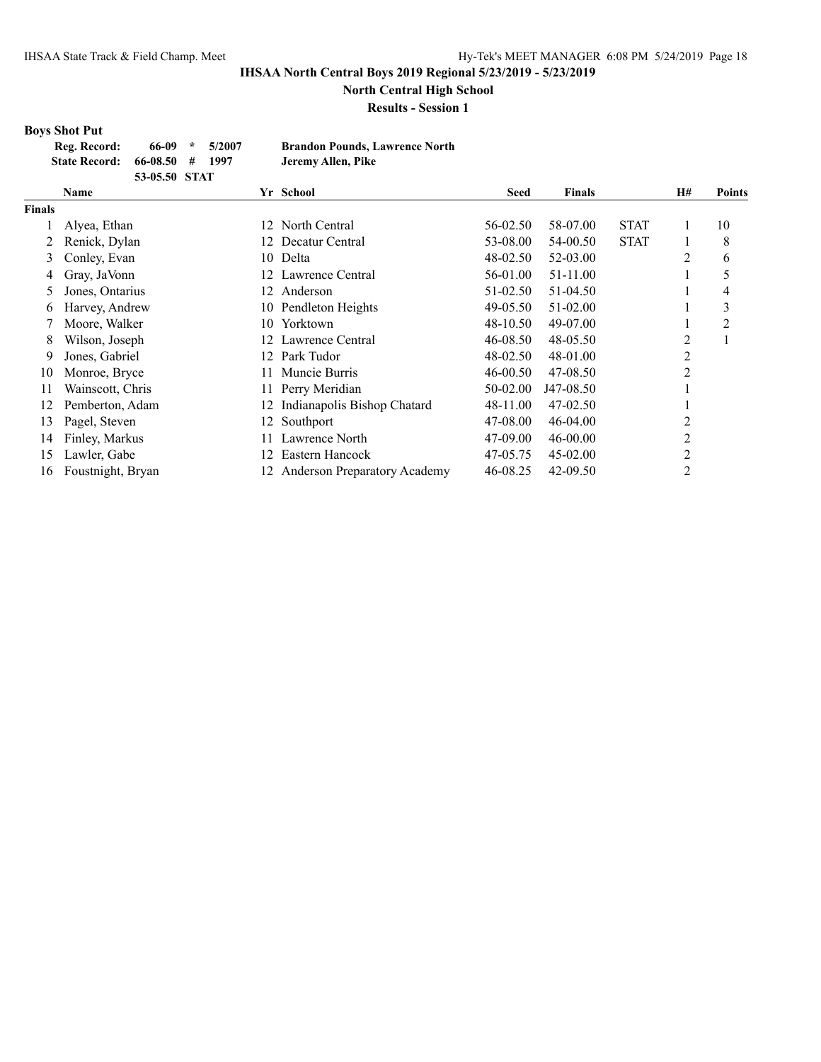**North Central High School**

**Results - Session 1**

# **Boys Shot Put**<br>Reg. Record:

|               | 66-09<br>5/2007<br>Reg. Record:<br>÷<br><b>State Record:</b><br>66-08.50<br>1997<br>#<br>53-05.50 STAT |     | <b>Brandon Pounds, Lawrence North</b><br>Jeremy Allen, Pike |             |               |             |                |               |
|---------------|--------------------------------------------------------------------------------------------------------|-----|-------------------------------------------------------------|-------------|---------------|-------------|----------------|---------------|
|               | <b>Name</b>                                                                                            |     | Yr School                                                   | <b>Seed</b> | <b>Finals</b> |             | H#             | <b>Points</b> |
| <b>Finals</b> |                                                                                                        |     |                                                             |             |               |             |                |               |
|               | Alyea, Ethan                                                                                           | 12  | North Central                                               | 56-02.50    | 58-07.00      | <b>STAT</b> | 1              | 10            |
|               | Renick, Dylan                                                                                          | 12. | Decatur Central                                             | 53-08.00    | 54-00.50      | <b>STAT</b> |                | 8             |
| 3             | Conley, Evan                                                                                           | 10  | Delta                                                       | 48-02.50    | 52-03.00      |             | 2              | 6             |
| 4             | Gray, JaVonn                                                                                           | 12  | Lawrence Central                                            | 56-01.00    | 51-11.00      |             |                | 5             |
| 5             | Jones, Ontarius                                                                                        | 12  | Anderson                                                    | 51-02.50    | 51-04.50      |             | ш              | 4             |
| 6             | Harvey, Andrew                                                                                         | 10- | Pendleton Heights                                           | 49-05.50    | 51-02.00      |             |                | 3             |
|               | Moore, Walker                                                                                          | 10  | Yorktown                                                    | 48-10.50    | 49-07.00      |             |                | 2             |
| 8             | Wilson, Joseph                                                                                         | 12. | Lawrence Central                                            | 46-08.50    | 48-05.50      |             | 2              |               |
| 9             | Jones, Gabriel                                                                                         | 12  | Park Tudor                                                  | 48-02.50    | 48-01.00      |             | 2              |               |
| 10            | Monroe, Bryce                                                                                          | 11. | Muncie Burris                                               | 46-00.50    | 47-08.50      |             | 2              |               |
| 11            | Wainscott, Chris                                                                                       | 11. | Perry Meridian                                              | 50-02.00    | J47-08.50     |             | -1             |               |
| 12            | Pemberton, Adam                                                                                        | 12. | Indianapolis Bishop Chatard                                 | 48-11.00    | 47-02.50      |             |                |               |
| 13            | Pagel, Steven                                                                                          | 12  | Southport                                                   | 47-08.00    | 46-04.00      |             | 2              |               |
| 14            | Finley, Markus                                                                                         |     | Lawrence North                                              | 47-09.00    | $46 - 00.00$  |             | 2              |               |
| 15            | Lawler, Gabe                                                                                           | 12  | Eastern Hancock                                             | 47-05.75    | $45 - 02.00$  |             | 2              |               |
| 16            | Foustnight, Bryan                                                                                      | 12. | <b>Anderson Preparatory Academy</b>                         | 46-08.25    | 42-09.50      |             | $\overline{c}$ |               |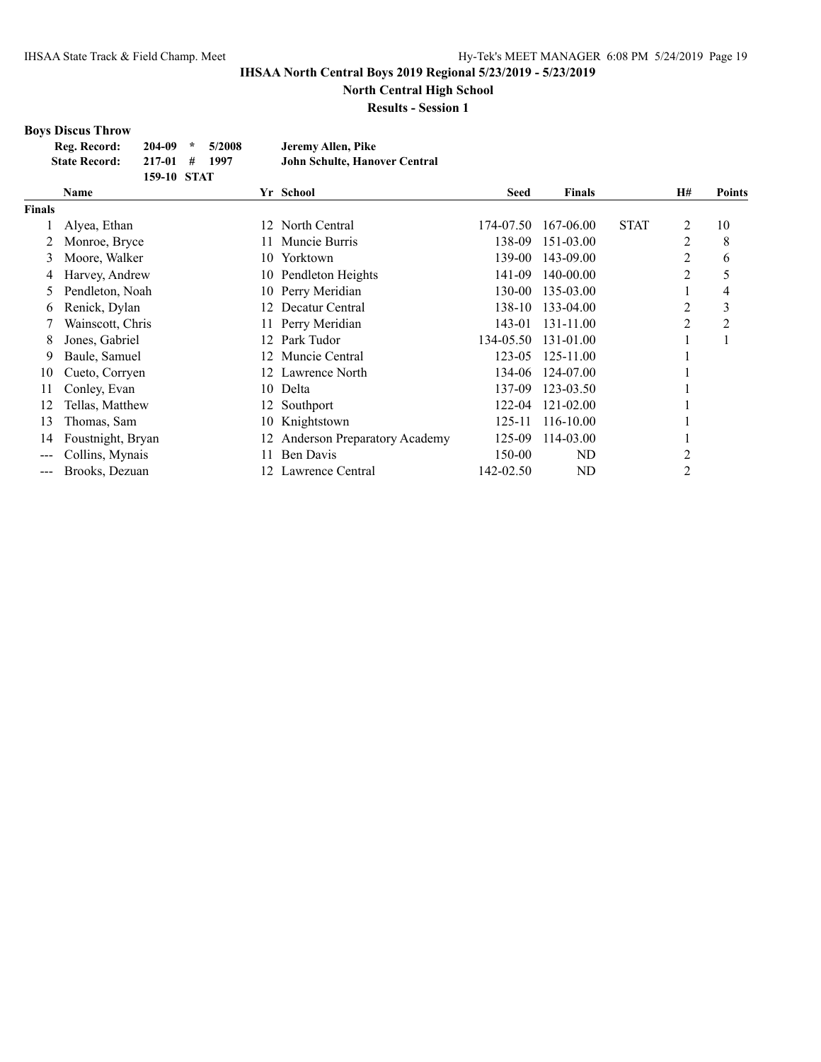**North Central High School**

**Results - Session 1**

# **Boys Discus Throw**

| Reg. Record:         | $204-09$ *  | 5/2008 | Jeremy Allen, Pike                   |
|----------------------|-------------|--------|--------------------------------------|
| <b>State Record:</b> | $217-01$ #  | - 1997 | <b>John Schulte, Hanover Central</b> |
|                      | 159-10 STAT |        |                                      |

|                   | <b>Name</b>       |     | Yr School                    | <b>Seed</b> | <b>Finals</b> |             | H#             | <b>Points</b>  |
|-------------------|-------------------|-----|------------------------------|-------------|---------------|-------------|----------------|----------------|
| <b>Finals</b>     |                   |     |                              |             |               |             |                |                |
|                   | Alyea, Ethan      | 12. | North Central                | 174-07.50   | 167-06.00     | <b>STAT</b> | 2              | 10             |
|                   | Monroe, Bryce     | 11. | Muncie Burris                | 138-09      | 151-03.00     |             | 2              | 8              |
| 3                 | Moore, Walker     | 10. | Yorktown                     | 139-00      | 143-09.00     |             | 2              | 6              |
| 4                 | Harvey, Andrew    |     | 10 Pendleton Heights         | 141-09      | 140-00.00     |             | $\overline{2}$ | 5              |
| 5                 | Pendleton, Noah   | 10- | Perry Meridian               | 130-00      | 135-03.00     |             |                | 4              |
| 6                 | Renick, Dylan     | 12. | Decatur Central              | 138-10      | 133-04.00     |             | 2              | 3              |
|                   | Wainscott, Chris  | 11- | Perry Meridian               | 143-01      | 131-11.00     |             | 2              | $\overline{2}$ |
| 8                 | Jones, Gabriel    | 12. | Park Tudor                   | 134-05.50   | 131-01.00     |             |                |                |
| 9                 | Baule, Samuel     | 12. | Muncie Central               | 123-05      | 125-11.00     |             |                |                |
| 10                | Cueto, Corryen    | 12. | Lawrence North               | 134-06      | 124-07.00     |             |                |                |
| 11                | Conley, Evan      | 10. | Delta                        | 137-09      | 123-03.50     |             |                |                |
| 12                | Tellas, Matthew   | 12. | Southport                    | 122-04      | 121-02.00     |             |                |                |
| 13                | Thomas, Sam       | 10  | Knightstown                  | 125-11      | 116-10.00     |             |                |                |
| 14                | Foustnight, Bryan | 12. | Anderson Preparatory Academy | 125-09      | 114-03.00     |             |                |                |
| $\qquad \qquad -$ | Collins, Mynais   | 11  | Ben Davis                    | 150-00      | ND            |             | 2              |                |
| $---$             | Brooks, Dezuan    | 12. | Lawrence Central             | 142-02.50   | ND            |             | 2              |                |